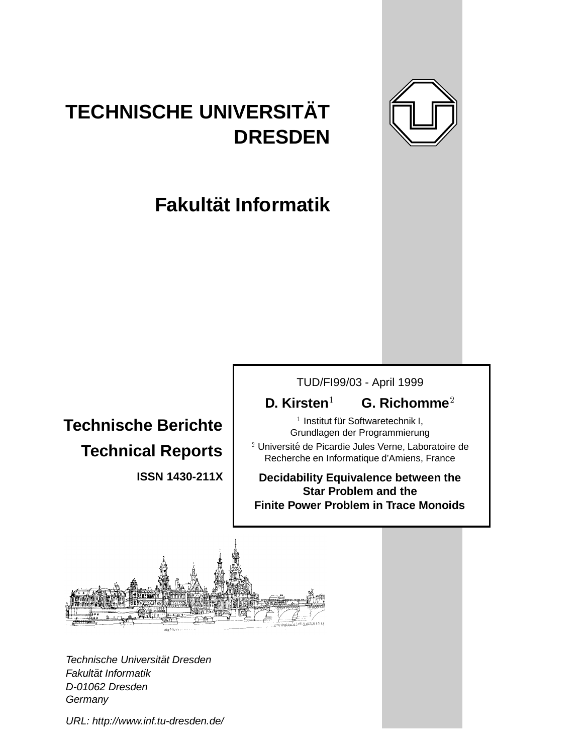

# **TECHNISCHE UNIVERSITAT¨ DRESDEN**

# **Fakultat Informatik ¨**

# **Technische Berichte Technical Reports**

**ISSN 1430-211X**

TUD/FI99/03 - April 1999

## **D. Kirsten**<sup>1</sup> **G. Richomme**<sup>2</sup>

<sup>1</sup> Institut für Softwaretechnik I, Grundlagen der Programmierung

<sup>2</sup> Université de Picardie Jules Verne, Laboratoire de Recherche en Informatique d'Amiens, France

**Decidability Equivalence between the Star Problem and the Finite Power Problem in Trace Monoids**



Technische Universität Dresden Fakultät Informatik D-01062 Dresden **Germany** 

URL: http://www.inf.tu-dresden.de/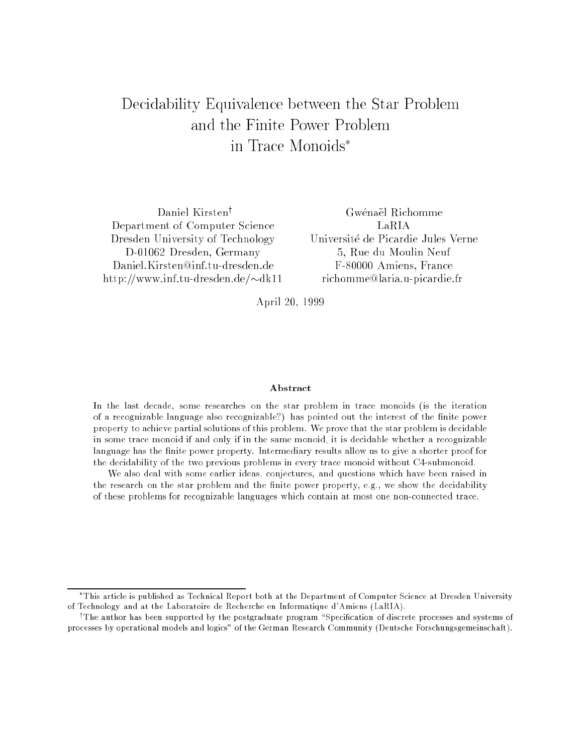## Decidability Equivalence between the Star Problem and the Finite Power Problem in Trace Monoids

Daniel Kirsten<sup>†</sup> Department of Computer Science Dresden University of Technology D-01062 Dresden, Germany http://www.inf.tu-dresden.de/ $\nu$ dk11

Gwenael Richomme LaRIA 5, Rue du Moulin Neuf F-80000 Amiens, France richomme@laria.u-picardie.fr

April 20, 1999

#### Abstract

In the last decade, some researches on the star problem in trace monoids (is the iteration of a recognizable language also recognizable?) has pointed out the interest of the nite power property to achieve partial solutions of this problem. We prove that the star problem is decidablein some trace monoid if and only if in the same monoid, it is decidable whether a recognizablelanguage has the nite power property. Intermediary results allow us to give a shorter proof for the decidability of the two previous problems in every trace monoid without C4-submonoid.

We also deal with some earlier ideas, conjectures, and questions which have been raised in the research on the star problem and the nite power property, e.g., we show the decidability of these problems for recognizable languages which contain at most one non-connected trace.

This article is published as Technical Report both at the Department of Computer Science at Dresden University of Technology and at the Laboratoire de Recherche en Informatique d'Amiens (LaRIA).

The author has been supported by the postgraduate program "Specification of discrete processes and systems of ' processes by operational models and logics" of the German Research Community (Deutsche Forschungsgemeinschaft).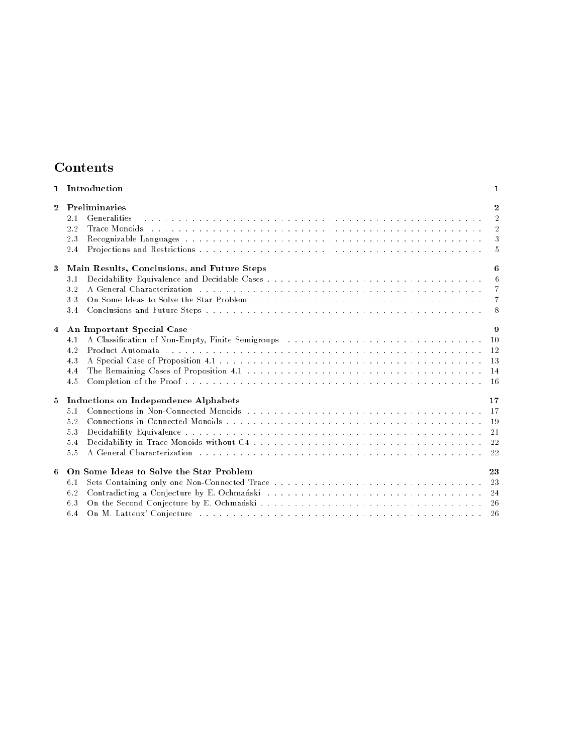| Contents |
|----------|
|----------|

| 1            | Introduction                                                                                                                                                                                                                                                                                             | 1                                                          |
|--------------|----------------------------------------------------------------------------------------------------------------------------------------------------------------------------------------------------------------------------------------------------------------------------------------------------------|------------------------------------------------------------|
| $\mathbf{2}$ | Preliminaries<br>2.1<br>Trace Monoids in the contract of the contract of the contract of the contract of the contract of the contract of the contract of the contract of the contract of the contract of the contract of the contract of the contract<br>2.2<br>2.3<br>2.4                               | $\mathbf{2}$<br>$\overline{2}$<br>$\overline{2}$<br>3<br>5 |
| 3            | Main Results, Conclusions, and Future Steps<br>3.1<br>A General Characterization resources in the contract of the contract of the contract of the contract of the contract of the contract of the contract of the contract of the contract of the contract of the contract of the co<br>32<br>3.3<br>3.4 | 6<br>6<br>$\overline{7}$<br>$\overline{7}$<br>8            |
| 4            | An Important Special Case<br>4.1<br>Product Automata research research research research research research research research research research res<br>4.2<br>4.3<br>4.4<br>4.5                                                                                                                           | 9<br>10<br><sup>12</sup><br>13<br>14<br><b>16</b>          |
| 5            | Inductions on Independence Alphabets<br>5 <sub>1</sub><br>5.2<br>5.3<br>5.4<br>5.5                                                                                                                                                                                                                       | 17<br><sup>17</sup><br>19<br>21<br>22                      |
| 6            | On Some Ideas to Solve the Star Problem<br>6.1<br>6.2<br>6.3<br>6.4                                                                                                                                                                                                                                      | 23<br>23<br>24<br>-26                                      |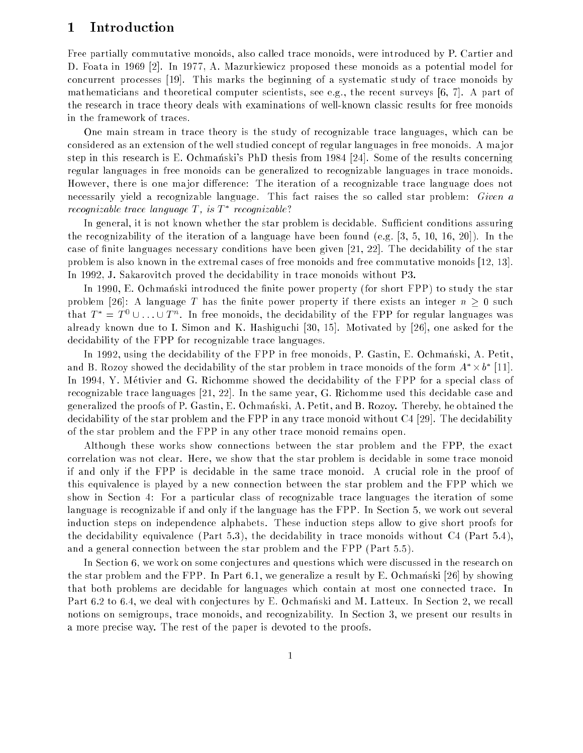## 1 Introduction

Free partially commutative monoids, also called trace monoids, were introduced by P. Cartier and D. Foata in 1969 [2]. In 1977, A. Mazurkiewicz proposed these monoids as a potential model for concurrent processes [19]. This marks the beginning of a systematic study of trace monoids by mathematicians and theoretical computer scientists, see e.g., the recent surveys  $[6, 7]$ . A part of the research in trace theory deals with examinations of well-known classic results for free monoids in the framework of traces.

One main stream in trace theory is the study of recognizable trace languages, which can be considered as an extension of the well studied concept of regular languages in free monoids. A ma jor step in this research is E. Ochmanski's PhD thesis from 1984 [24]. Some of the results concerning regular languages in free monoids can be generalized to recognizable languages in trace monoids. However, there is one major difference: The iteration of a recognizable trace language does not necessarily yield a recognizable language. This fact raises the so called star problem: Given a recognizable trace language **1**, is **1** recognizable:

In general, it is not known whether the star problem is decidable. Sufficient conditions assuring the recognizability of the iteration of a language have been found (e.g. [3, 5, 10, 16, 20]). In the case of finite languages necessary conditions have been given [21, 22]. The decidability of the star problem is also known in the extremal cases of free monoids and free commutative monoids [12, 13]. In 1992, J. Sakarovitch proved the decidability in trace monoids without P3.

In 1990, E. Ochmanski introduced the finite power property (for short FPP) to study the star problem [26]: A language T has the finite power property if there exists an integer  $n \geq 0$  such that  $T = T \cup ... \cup T$ . In free monoids, the decidability of the FFF for regular languages was already known due to I. Simon and K. Hashiguchi [30, 15]. Motivated by [26], one asked for the decidability of the FPP for recognizable trace languages.

In 1992, using the decidability of the FPP in free monoids, P. Gastin, E. Ochmanski, A. Petit, and B. Rozoy showed the decidability of the star problem in trace monoids of the form  $A^+ \times 0^+$  [11]. In 1994, Y. Metivier and G. Richomme showed the decidability of the FPP for a special class of recognizable trace languages [21, 22]. In the same year, G. Richomme used this decidable case and generalized the proofs of P. Gastin, E. Ochmanski, A. Petit, and B. Rozoy. Thereby, he obtained the decidability of the star problem and the FPP in any trace monoid without C4 [29]. The decidability of the star problem and the FPP in any other trace monoid remains open.

Although these works show connections between the star problem and the FPP, the exact correlation was not clear. Here, we show that the star problem is decidable in some trace monoid if and only if the FPP is decidable in the same trace monoid. A crucial role in the proof of this equivalence is played by a new connection between the star problem and the FPP which we show in Section 4: For a particular class of recognizable trace languages the iteration of some language is recognizable if and only if the language has the FPP. In Section 5, we work out several induction steps on independence alphabets. These induction steps allow to give short proofs for the decidability equivalence (Part 5.3), the decidability in trace monoids without C4 (Part 5.4), and a general connection between the star problem and the FPP (Part 5.5).

In Section 6, we work on some conjectures and questions which were discussed in the research on the star problem and the FPP. In Part 6.1, we generalize a result by E. Ochmanski [26] by showing that both problems are decidable for languages which contain at most one connected trace. In Part 6.2 to 6.4, we deal with conjectures by E. Ochmanski and M. Latteux. In Section 2, we recall notions on semigroups, trace monoids, and recognizability. In Section 3, we present our results in a more precise way. The rest of the paper is devoted to the proofs.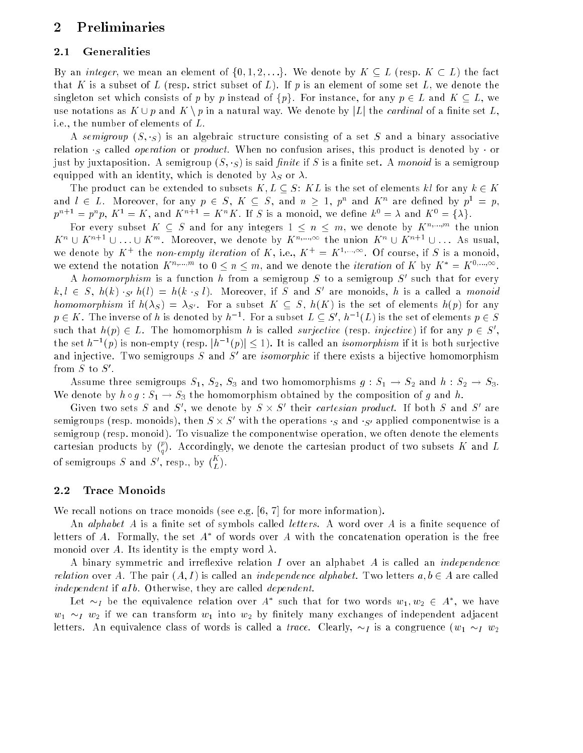## 2 Preliminaries

### 2.1 Generalities

By an *integer*, we mean an element of  $\{0, 1, 2, \ldots\}$ . We denote by  $K \subset L$  (resp.  $K \subset L$ ) the fact that K is a subset of L (resp. strict subset of L). If p is an element of some set L, we denote the singleton set which consists of p by p instead of  $\{p\}$ . For instance, for any  $p \in L$  and  $K \subseteq L$ , we use notations as  $K \cup p$  and  $K \setminus p$  in a natural way. We denote by  $|L|$  the *cardinal* of a finite set L, i.e., the number of elements of L.

A semigroup  $(S, g)$  is an algebraic structure consisting of a set S and a binary associative relation  $\cdot$  called *operation* or *product*. When no confusion arises, this product is denoted by  $\cdot$  or just by juxtaposition. A semigroup  $(S, \cdot_S)$  is said *finite* if S is a finite set. A monoid is a semigroup equipped with an identity, which is denoted by  $\lambda_S$  or  $\lambda$ .

The product can be extended to subsets  $K, L \subseteq S$ : KL is the set of elements kl for any  $k \in K$ and  $l \in L$ . Moreover, for any  $p \in S$ ,  $K \subseteq S$ , and  $n \geq 1$ ,  $p^{\sim}$  and  $K^{\sim}$  are defined by  $p^{\sim} \equiv p$ .  $p^m \equiv p^- p$ ,  $K^+ \equiv K$ , and  $K^- \equiv K^- K$ , if s is a monoid, we define  $k^+ \equiv \lambda$  and  $K^+ \equiv \{\lambda\}$ .

For every subset  $K \subseteq S$  and for any integers  $1 \leq n \leq m$ , we denote by  $K^{n,...,m}$  the union  $K^{\times} \cup K^{\times} \subseteq \cup \ldots \cup K^{\times}$  . Moreover, we denote by  $K^{\times},\ldots$  the union  $K^{\times} \cup K^{\times} \subseteq \cup \ldots$  As usual, we denote by  $K + \text{the } not\text{-}empty~ terms of } K$ , i.e.,  $K + \equiv K^{1},\dots,$  Of course, if S is a monoid, we extend the notation  $K^{n,...,m}$  to  $0 \leq n \leq m$ , and we denote the *iteration* of K by  $K^* = K^{0,...,\infty}$ .

A *homomorphism* is a function  $n$  from a semigroup  $S$  to a semigroup  $S$  such that for every  $k, i \in S$ ,  $h(k)$   $S^i h(i) = h(k \cdot S i)$ . Moreover, if S and S are monoids, h is a called a *monoid* homomorphism if  $h(\lambda_S) = \lambda_{S'}$ . For a subset  $K \subset S$ ,  $h(K)$  is the set of elements  $h(p)$  for any  $p\in K$  . The inverse of  $n$  is denoted by  $n^{-1}$  . For a subset  $L\subseteq S$  ,  $n^{-1}(L)$  is the set of elements  $p\in S$ such that  $h(p) \in L$ . The homomorphism h is called *surfective* (resp. *injective*) if for any  $p \in S$ , the set h  $\lceil (p) \rceil$  is non-empty (resp.  $|n| \leq (p) \rceil \leq 1$ ). It is called an *isomorphism* if it is both surjective and injective. Two semigroups  $S$  and  $S$  are *isomorphic* if there exists a bijective nomomorphism . с ол с шоп

Assume three semigroups  $S_1$ ,  $S_2$ ,  $S_3$  and two homomorphisms  $g : S_1 \rightarrow S_2$  and  $h : S_2 \rightarrow S_3$ . We denote by  $h \circ g : S_1 \to S_3$  the homomorphism obtained by the composition of g and h.

Given two sets  $S$  and  $S$  , we denote by  $S \times S$  their *cartesian product*. If both  $S$  and  $S$  are semigroups (resp. monoids), then  $S \times S$  with the operations  $\cdot_S$  and  $\cdot_{S'}$  applied componentwise is a semigroup (resp. monoid). To visualize the componentwise operation, we often denote the elements care cantantee products before the state of  $\mathcal{L}_{\mathcal{A}}$  $(p<sub>1</sub>)$  $\sim$ . Accordingly, we denote the cartesian product of two subsets K and L of semigroups S and S', resp., by  $\binom{K}{I}$  $\sim$ 

#### 2.2 Trace Monoids

We recall notions on trace monoids (see e.g. [6, 7] for more information).

An *alphabet*  $A$  is a finite set of symbols called *letters*. A word over  $A$  is a finite sequence of letters of  $A$ . Formally, the set  $A$  for words over  $A$  with the concatenation operation is the free monoid over A. Its identity is the empty word  $\lambda$ .

A binary symmetric and irreflexive relation I over an alphabet  $A$  is called an *independence relation* over A. The pair  $(A, I)$  is called an *independence alphabet*. Two letters  $a, b \in A$  are called independent if  $aIb$ . Otherwise, they are called *dependent*.

Let  $\sim_I$  be the equivalence relation over A such that for two words  $w_1,w_2\,\in\, A$  , we have  $w_1 \sim_l w_2$  if we can transform  $w_1$  into  $w_2$  by finitely many exchanges of independent adjacent letters. An equivalence class of words is called a *trace*. Clearly,  $\sim_I$  is a congruence ( $w_1 \sim_I w_2$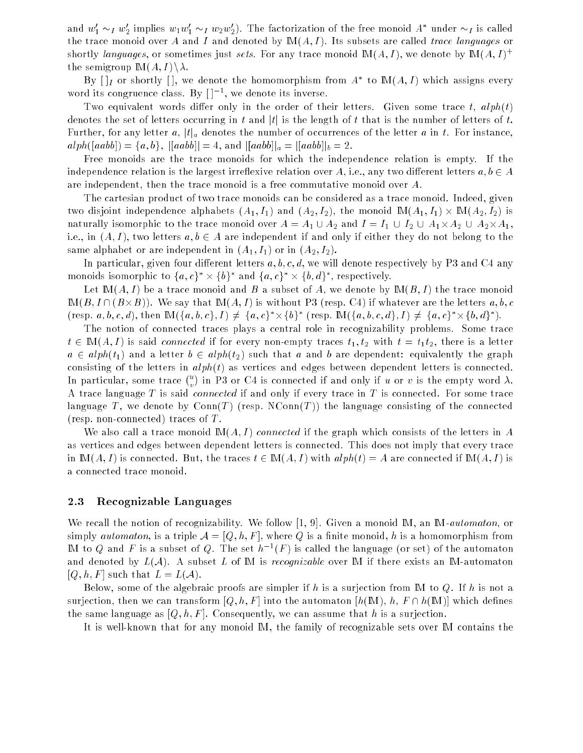and  $w_1 \sim_I w_2$  implies  $w_1 w_1 \sim_I w_2 w_2$ ). The factorization of the free monoid A -under  $\sim_I$  is called the trace monoid over A and I and denoted by  $M(A, I)$ . Its subsets are called trace languages or shortly languages, or sometimes just sets. For any trace monoid  $M(A, I)$ , we denote by  $M(A, I)^+$ the semigroup  $\mathbb{M}(A, I)\setminus \lambda$ .

 $\mathbf{D} \mathbf{y} \mid [I]$  or shortly  $[\cdot]$ , we denote the homomorphism from  $A$  to  $\mathbf{m}(A, I)$  which assigns every word its congruence class.  $B_y + 1 =$ , we denote its inverse.

Two equivalent words differ only in the order of their letters. Given some trace t,  $alpha(t)$ denotes the set of letters occurring in t and  $|t|$  is the length of t that is the number of letters of t. Further, for any letter a,  $|t|_a$  denotes the number of occurrences of the letter a in t. For instance,  $a1ph([aab]) = \{a, b\}, |[aab]] = 4$ , and  $|[aab]]_a = |[aab]]_b = 2$ .

Free monoids are the trace monoids for which the independence relation is empty. If the independence relation is the largest irreflexive relation over A, i.e., any two different letters  $a, b \in A$ are independent, then the trace monoid is a free commutative monoid over A.

The cartesian product of two trace monoids can be considered as a trace monoid. Indeed, given two disjoint independence alphabets (A1; I1) and (A1; I1)  $\mu$  in the monoid IM(A1; I1)  $\mu$ naturally isomorphic to the trace monoid over A = A21 [A2-A2] when A = A1 [A2-A2] [ I2 [ A1-A2] [ I2 [ I2] [ I i.e., in  $(A, I)$ , two letters  $a, b \in A$  are independent if and only if either they do not belong to the same alphabet or are independent in  $(A_1, I_1)$  or in  $(A_2, I_2)$ .

In particular, given four different letters  $a, b, c, d$ , we will denote respectively by P3 and C4 any monoids isomorphic to  $\{a, c\}$   $\times$   $\{b\}$  and  $\{a, c\}$   $\times$   $\{b, a\}$ , respectively.

Let  $\mathbb{M}(A, I)$  be a trace monoid and B a subset of A, we denote by  $\mathbb{M}(B, I)$  the trace monoid IM(B; I \ (B-B)). We say that IM(A; I ) is without P3 (resp. C4) if whatever are the letters a; b; c (resp.  $a, b, c, a$ ), then  $\text{IM}(\{a, b, c\}, I) \neq \{a, c\} \times \{b\}$  (resp.  $\text{IM}(\{a, b, c, a\}, I) \neq \{a, c\} \times \{b, a\}$ ).

The notion of connected traces plays a central role in recognizability problems. Some trace  $t \in M(A, I)$  is said *connected* if for every non-empty traces  $t_1, t_2$  with  $t = t_1t_2$ , there is a letter  $a \in alph(t_1)$  and a letter  $b \in alph(t_2)$  such that a and b are dependent: equivalently the graph consisting of the letters in  $alph(t)$  as vertices and edges between dependent letters is connected. In particular, some trace  $\binom{u}{v}$ in P3 or C4 is connected if and only if u or v is the empty word . A trace language T is said *connected* if and only if every trace in T is connected. For some trace language T, we denote by  $Conn(T)$  (resp.  $NConn(T)$ ) the language consisting of the connected (resp. non-connected) traces of  $T$ .

We also call a trace monoid  $M(A, I)$  connected if the graph which consists of the letters in A as vertices and edges between dependent letters is connected. This does not imply that every trace in  $M(A, I)$  is connected. But, the traces  $t \in M(A, I)$  with  $alph(t) = A$  are connected if  $M(A, I)$  is a connected trace monoid.

### 2.3 Recognizable Languages

We recall the notion of recognizability. We follow [1, 9]. Given a monoid  $M$ , an  $M$ -*automaton*, or simply *automaton*, is a triple  $A = [Q, h, F]$ , where Q is a finite monoid, h is a homomorphism from IM to Q and F is a subset of Q. The set  $h^{-1}(F)$  is called the language (or set) of the automaton and denoted by  $L(\mathcal{A})$ . A subset L of M is *recognizable* over M if there exists an M-automaton  $[Q, h, F]$  such that  $L = L(A)$ .

Below, some of the algebraic proofs are simpler if h is a surjection from M to Q. If h is not a surjection, then we can transform  $[Q, h, F]$  into the automaton  $[h(M), h, F \cap h(M)]$  which defines the same language as  $[Q, h, F]$ . Consequently, we can assume that h is a surjection.

It is well-known that for any monoid IM, the family of recognizable sets over IM contains the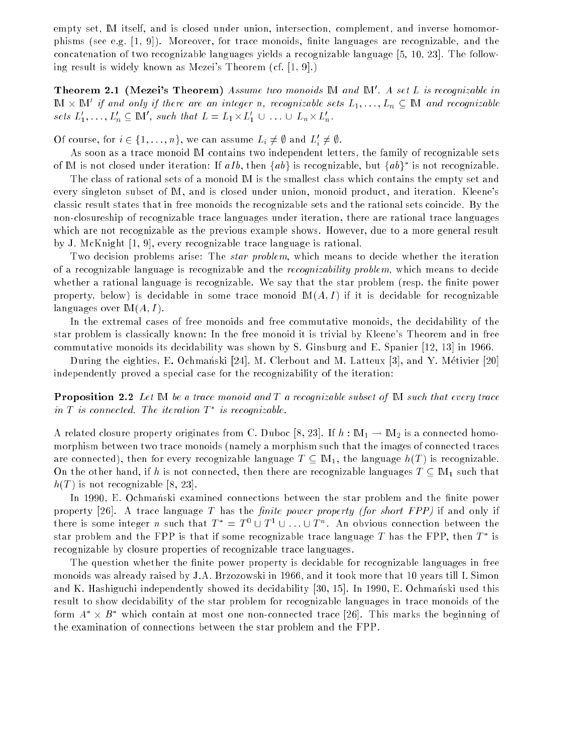empty set, IM itself, and is closed under union, intersection, complement, and inverse homomorphisms (see e.g.  $[1, 9]$ ). Moreover, for trace monoids, finite languages are recognizable, and the concatenation of two recognizable languages yields a recognizable language [5, 10, 23]. The following result is widely known as Mezei's Theorem (cf. [1, 9].)

Theorem 2.1 (Mezei's Theorem) Assume two monoids  $\mathbb M$  and  $\mathbb M'.$  A set  $L$  is recognizable in IM  $\times$  IM  $\,$  if and only if there are an integer n, recognizable sets  $L_1,\ldots,L_n\,\subseteq\,\mathbb{N}$ 1 and recognizable sets  $L_1, \ldots, L_n \subseteq \mathbb{N}$  , such that  $L = L_1 \times L_1 \cup \ldots \cup L_n \times L_n$ .

Of course, for  $i \in \{1, \ldots, n\}$ , we can assume  $L_i \neq \emptyset$  and  $L_i \neq \emptyset$ .

As soon as a trace monoid IM contains two independent letters, the family of recognizable sets of IM is not closed under iteration: If  $aIb$ , then  $\{ab\}$  is recognizable, but  $\{ab\}$  is not recognizable.

The class of rational sets of a monoid IM is the smallest class which contains the empty set and every singleton subset of IM, and is closed under union, monoid product, and iteration. Kleene's classic result states that in free monoids the recognizable sets and the rational sets coincide. By the non-closureship of recognizable trace languages under iteration, there are rational trace languages which are not recognizable as the previous example shows. However, due to a more general result by J. McKnight [1, 9], every recognizable trace language is rational.

Two decision problems arise: The *star problem*, which means to decide whether the iteration of a recognizable language is recognizable and the recognizability problem, which means to decide whether a rational language is recognizable. We say that the star problem (resp. the finite power property, below) is decidable in some trace monoid  $M(A, I)$  if it is decidable for recognizable languages over  $M(A, I)$ .

In the extremal cases of free monoids and free commutative monoids, the decidability of the star problem is classically known: In the free monoid it is trivial by Kleene's Theorem and in free commutative monoids its decidability was shown by S. Ginsburg and E. Spanier [12, 13] in 1966.

During the eighties, E. Ochmanski [24], M. Clerbout and M. Latteux [3], and Y. Métivier [20] independently proved a special case for the recognizability of the iteration:

**Proposition 2.2** Let  $M$  be a trace monoid and  $T$  a recognizable subset of  $M$  such that every trace  $\mu$  is connected. The iteration  $\mu$  is recognizable.

A related closure property originates from C. Duboc [8, 23]. If  $h : \mathbb{M}_1 \to \mathbb{M}_2$  is a connected homomorphism between two trace monoids (namely a morphism such that the images of connected traces are connected), then for every recognizable language  $T \subseteq M_1$ , the language  $h(T)$  is recognizable. On the other hand, if h is not connected, then there are recognizable languages  $T \text{ }\subset \text{ }M_1$  such that  $h(T)$  is not recognizable [8, 23].

In 1990, E. Ochmanski examined connections between the star problem and the finite power property [26]. A trace language T has the *finite power property (for short FPP)* if and only if there is some integer n such that  $T = T \cup T \cup \ldots \cup T$ . An obvious connection between the star problem and the FPP is that if some recognizable trace language  $I$  has the FPP, then  $I$  is recognizable by closure properties of recognizable trace languages.

The question whether the finite power property is decidable for recognizable languages in free monoids was already raised by J.A. Brzozowski in 1966, and it took more that 10 years till I. Simon and K. Hashiguchi independently showed its decidability [30, 15]. In 1990, E. Ochmanski used this result to show decidability of the star problem for recognizable languages in trace monoids of the form  $A \times B$  -which contain at most one non-connected trace [26]. This marks the beginning of the examination of connections between the star problem and the FPP.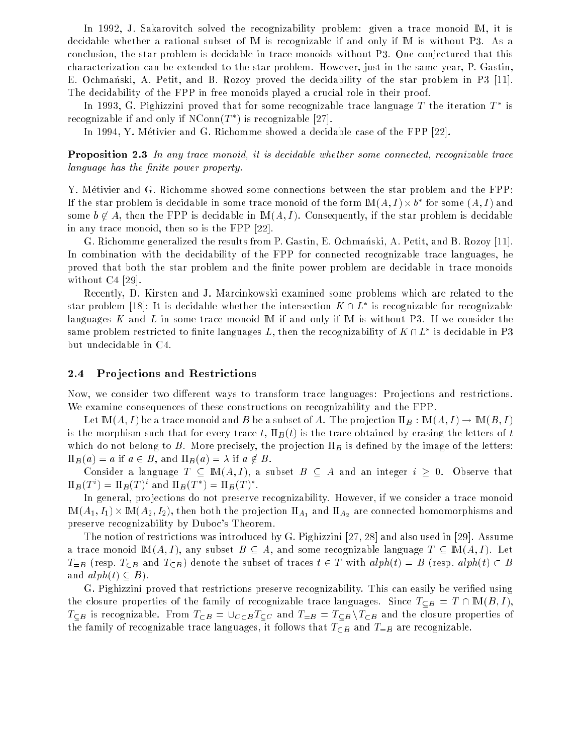In 1992, J. Sakarovitch solved the recognizability problem: given a trace monoid M, it is decidable whether a rational subset of IM is recognizable if and only if IM is without P3. As a conclusion, the star problem is decidable in trace monoids without P3. One conjectured that this characterization can be extended to the star problem. However, just in the same year, P. Gastin, E. Ochmanski, A. Petit, and B. Rozoy proved the decidability of the star problem in P3 [11]. The decidability of the FPP in free monoids played a crucial role in their proof.

In 1995, G. Pighizzini proved that for some recognizable trace language  $I$  the iteration  $I$  is recognizable if and only if  $N\text{-}\mathrm{omin}(T^-)$  is recognizable  $|Z(\cdot)|$ .

In 1994, Y. Metivier and G. Richomme showed a decidable case of the FPP [22].

**Proposition 2.3** In any trace monoid, it is decidable whether some connected, recognizable trace language has the finite power property.

Y. Metivier and G. Richomme showed some connections between the star problem and the FPP: If the star problem is decidable in some trace monoid of the form  $\text{IM}(A, I) \times \theta$  for some  $(A, I)$  and some  $b \notin A$ , then the FPP is decidable in  $M(A, I)$ . Consequently, if the star problem is decidable in any trace monoid, then so is the FPP [22].

G. Richomme generalized the results from P. Gastin, E. Ochmanski, A. Petit, and B. Rozoy [11]. In combination with the decidability of the FPP for connected recognizable trace languages, he proved that both the star problem and the finite power problem are decidable in trace monoids without C4 [29].

Recently, D. Kirsten and J. Marcinkowski examined some problems which are related to the star problem [18]: It is decidable whether the intersection  $K \sqcup L$  is recognizable for recognizable languages K and L in some trace monoid M if and only if M is without P3. If we consider the same problem restricted to finite languages  $L$ , then the recognizability of  $K \sqcup L$  is decidable in P3 but undecidable in C4.

#### 2.4 Pro jections and Restrictions

Now, we consider two different ways to transform trace languages: Projections and restrictions. We examine consequences of these constructions on recognizability and the FPP.

Let  $\mathbb{M}(A,I)$  be a trace monoid and B be a subset of A. The projection  $\Pi_B : \mathbb{M}(A,I) \to \mathbb{M}(B,I)$ is the morphism such that for every trace t,  $\Pi_B(t)$  is the trace obtained by erasing the letters of t which do not belong to B. More precisely, the projection  $\Pi_B$  is defined by the image of the letters:  $\Pi_B(a) = a$  if  $a \in B$ , and  $\Pi_B(a) = \lambda$  if  $a \notin B$ .

Consider a language  $T \subseteq M(A, I)$ , a subset  $B \subseteq A$  and an integer  $i \geq 0$ . Observe that  $\prod_{B}(T) = \prod_{B}(T)$  and  $\prod_{B}(T) = \prod_{B}(T)$ .

In general, projections do not preserve recognizability. However, if we consider a trace monoid IM(A1; I1) - IM(A2; I2), then both the pro jection A1 and A2 are connected homomorphisms and preserve recognizability by Duboc's Theorem.

The notion of restrictions was introduced by G. Pighizzini [27, 28] and also used in [29]. Assume a trace monoid  $M(A, I)$ , any subset  $B \subseteq A$ , and some recognizable language  $T \subseteq M(A, I)$ . Let  $T_{=B}$  (resp.  $T_{\subseteq B}$  and  $T_{\subseteq B}$ ) denote the subset of traces  $t \in T$  with  $alph(t) = B$  (resp.  $alph(t) \subset B$ and  $alph(t) \subseteq B$ ).

G. Pighizzini proved that restrictions preserve recognizability. This can easily be veried using the closure properties of the family of recognizable trace languages. Since  $T_{\text{CB}} = T \cap M(B, I)$ ,  $T_{\subseteq B}$  is recognizable. From  $T_{\subseteq B} = \bigcup_{C \subseteq B} T_{\subseteq C}$  and  $T_{=B} = T_{\subseteq B} \setminus T_{\subseteq B}$  and the closure properties of the family of recognizable trace languages, it follows that  $T_{\subseteq B}$  and  $T_{=B}$  are recognizable.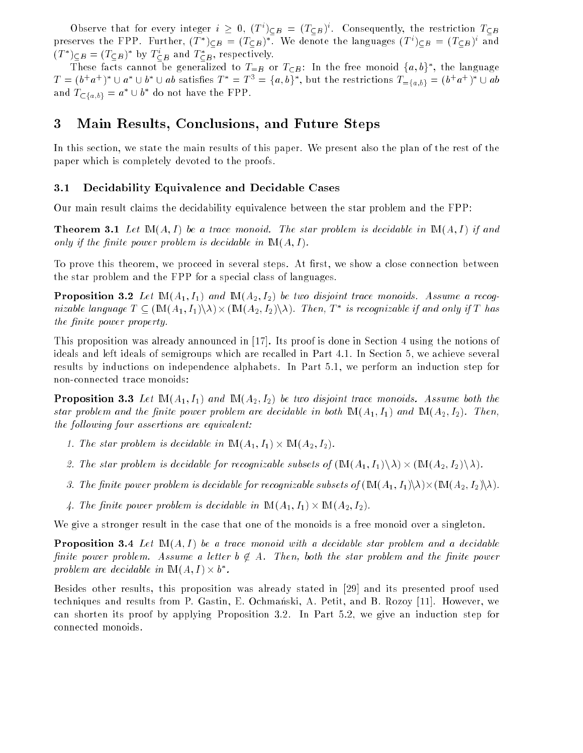Observe that for every integer  $i \geq 0, \; (I \; J \subset B) = (I \subset B)$ . Consequently, the restriction  $I \subset B$ preserves the FFP. Further,  $(I \mid C_B = (I \subset B))$ . We denote the languages  $(I \cap C_B = (I \subset B))$  and  $(I \mid J \subseteq B = (I \subseteq B)$  by  $I \subseteq B$  and  $I \subseteq B$ , respectively.

These facts cannot be generalized to  $I_{=B}$  or  $I_{\sub{B}}$ : In the free monoid  $\{a, b\}$ , the language  $I = (b^{\top}a^{\top})^{\top} \cup a^{\top} \cup b^{\top} \cup ab$  satisfies  $I = I^{\top} = \{a, b\}^{\top}$ , but the restrictions  $I_{\equiv \{a, b\}} = (b^{\top}a^{\top})^{\top} \cup ab$ and  $I_{\sub{a,b}} = a \ \cup o$  go not have the FPP.

## 3 Main Results, Conclusions, and Future Steps

In this section, we state the main results of this paper. We present also the plan of the rest of the paper which is completely devoted to the proofs.

### 3.1 Decidability Equivalence and Decidable Cases

Our main result claims the decidability equivalence between the star problem and the FPP:

**Theorem 3.1** Let  $\mathbb{M}(A, I)$  be a trace monoid. The star problem is decidable in  $\mathbb{M}(A, I)$  if and only if the finite power problem is decidable in  $\mathbb{M}(A, I)$ .

To prove this theorem, we proceed in several steps. At first, we show a close connection between the star problem and the FPP for a special class of languages.

**Proposition 3.2** Let  $\mathbb{M}(A_1, I_1)$  and  $\mathbb{M}(A_2, I_2)$  be two disjoint trace monoids. Assume a recognizable language  $I \subseteq (\text{\sc{in}}(A_1, I_1) \land \text{\sc{in}}(A_2, I_2) \land \text{\sc{in}}(I_1, I_1, I_2)$  is recognizable if and only if  $I_1$  has the finite power property.

This proposition was already announced in [17]. Its proof is done in Section 4 using the notions of ideals and left ideals of semigroups which are recalled in Part 4.1. In Section 5, we achieve several results by inductions on independence alphabets. In Part 5.1, we perform an induction step for non-connected trace monoids:

**Proposition 3.3** Let  $\mathbb{M}(A_1, I_1)$  and  $\mathbb{M}(A_2, I_2)$  be two disjoint trace monoids. Assume both the star problem and the finite power problem are decidable in both  $\mathbb{M}(A_1, I_1)$  and  $\mathbb{M}(A_2, I_2)$ . Then, the following four assertions are equivalent:

- 1. The star problem is decidable in IM(A1; I1) IM(A2; I2).
- 2. The star problem is decidable for recognizable subsets of (IM(A1; I1)n) (IM(A2; I2)n).
- 3. The nite power problem is decidable for recognizable subsets of (IM(A1; I1)n)-(IM(A2; I2)n).
- $\gamma$  is the given of power problem is decided in IMC  $\gamma$   $\gamma$   $\gamma$  in III, in IM(A1)  $\gamma$

We give a stronger result in the case that one of the monoids is a free monoid over a singleton.

**Proposition 3.4** Let  $M(A, I)$  be a trace monoid with a decidable star problem and a decidable finite power problem. Assume a letter  $b \notin A$ . Then, both the star problem and the finite power problem are aectaable in  $\text{IM}(A, I) \times \text{D}$  .

Besides other results, this proposition was already stated in [29] and its presented proof used techniques and results from P. Gastin, E. Ochmanski, A. Petit, and B. Rozoy [11]. However, we can shorten its proof by applying Proposition 3.2. In Part 5.2, we give an induction step for connected monoids.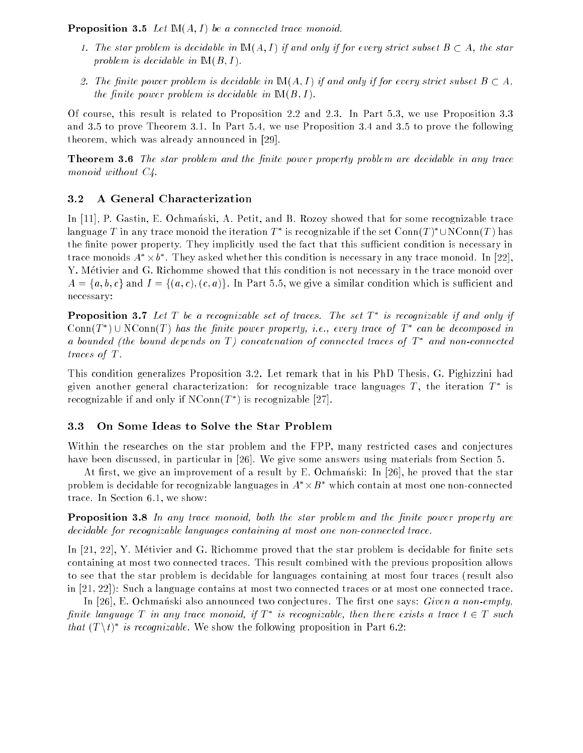**Proposition 3.5** Let  $M(A, I)$  be a connected trace monoid.

- 1. The star problem is decidable in  $M(A, I)$  if and only if for every strict subset  $B \subset A$ , the star problem is decidable in  $M(B, I)$ .
- 2. The finite power problem is decidable in  $M(A, I)$  if and only if for every strict subset  $B \subset A$ , the finite power problem is decidable in  $M(B, I)$ .

Of course, this result is related to Proposition 2.2 and 2.3. In Part 5.3, we use Proposition 3.3 and 3.5 to prove Theorem 3.1. In Part 5.4, we use Proposition 3.4 and 3.5 to prove the following theorem, which was already announced in [29].

**Theorem 3.6** The star problem and the finite power property problem are decidable in any trace monoid without  $C_4$ .

## 3.2 A General Characterization

In [11], P. Gastin, E. Ochmanski, A. Petit, and B. Rozoy showed that for some recognizable trace language  $I$  in any trace monoid the iteration  $I$  -is recognizable if the set Conn(T )  $\cup$  in Conn(T ) has the finite power property. They implicitly used the fact that this sufficient condition is necessary in trace monoids  $A \times o$ . Iney asked whether this condition is necessary in any trace monoid. In [22], Y. Metivier and G. Richomme showed that this condition is not necessary in the trace monoid over  $A = \{a, b, c\}$  and  $I = \{(a, c), (c, a)\}\$ . In Part 5.5, we give a similar condition which is sufficient and necessary:

**Proposition 3.7** Let T be a recognizable set of traces. The set  $T^*$  is recognizable if and only if CONN(1) I CONN(1) has the finite power property, i.e., every trace of 1 can be aecomposed in a bounded (the bound depends on T ) concatenation of connected traces of T and non-connected traces of T.

This condition generalizes Proposition 3.2. Let remark that in his PhD Thesis, G. Pighizzini had given another general characterization: for recognizable trace languages  $T$  , the iteration  $T$  is recognizable if and only if NConn(T  $\,$  ) is recognizable  $\,|27\rangle$ .

## 3.3 On Some Ideas to Solve the Star Problem

Within the researches on the star problem and the FPP, many restricted cases and conjectures have been discussed, in particular in [26]. We give some answers using materials from Section 5.

At first, we give an improvement of a result by E. Ochmanski: In [26], he proved that the star problem is decidable for recognizable languages in  $A \times B$  – which contain at most one non-connected trace. In Section 6.1, we show:

**Proposition 3.8** In any trace monoid, both the star problem and the finite power property are decidable for recognizable languages containing at most one non-connected trace.

In  $[21, 22]$ , Y. Métivier and G. Richomme proved that the star problem is decidable for finite sets containing at most two connected traces. This result combined with the previous proposition allows to see that the star problem is decidable for languages containing at most four traces (result also in [21, 22]): Such a language contains at most two connected traces or at most one connected trace.

In [26], E. Ochmanski also announced two conjectures. The first one says: Given a non-empty,  $\mu$ nite language 1 in any trace monoia, if 1 - is recognizable, then there exists a trace t  $\in$  1 such  $\textit{inat}(T \setminus t)$  is recognizable. We show the following proposition in Part 6.2: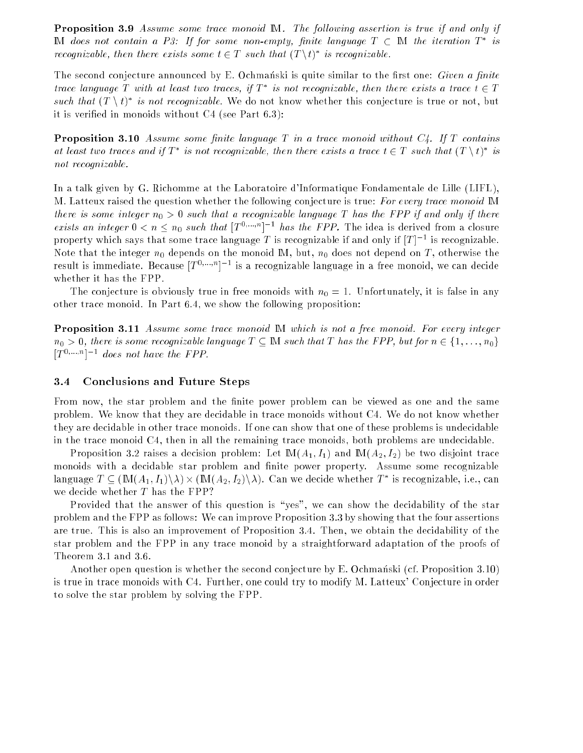Proposition 3.9 Assume some trace monoid IM. The following assertion is true if and only if IN abes not contain a F3: If for some non-empty, finue language  $I$   $\subset$  IM the iteration  $I$  is recognizable, then there exists some  $t \in T$  such that  $(T \setminus t)$  is recognizable.

The second conjecture announced by E. Ochmanski is quite similar to the first one: *Given a finite* trace tanquage 1 with at least two traces, if  $I$  is not recognizable, then there exists a trace  $t \in I$ such that  $(T \setminus U)$  is not recognizable. We do not know whether this conjecture is true or not, but it is veried in monoids without C4 (see Part 6.3):

**Proposition 3.10** Assume some finite language  $T$  in a trace monoid without  $C_4$ . If  $T$  contains at least two traces and if  $I$  - is not recognizable, then there exists a trace  $t \in I$  such that  $(I \setminus t)$  is not recognizable.

In a talk given by G. Richomme at the Laboratoire d'Informatique Fondamentale de Lille (LIFL), M. Latteux raised the question whether the following conjecture is true: For every trace monoid IM there is some integer  $n_0 > 0$  such that a recognizable language T has the FPP if and only if there exists an integer  $0 < n \leq n_0$  such that  $|T^{1, ..., n}|$  and the FFP. The idea is derived from a closure property which says that some trace language  $I$  is recognizable if and only if  $|I|$   $\bar{\ }$  is recognizable. Note that the integer  $n_0$  depends on the monoid M, but,  $n_0$  does not depend on T, otherwise the  $\Gamma$ esult is immediate. Because  $|T^{1},...,1\rangle$  is a recognizable language in a free monoid, we can decide whether it has the FPP.

The conjecture is obviously true in free monoids with  $n_0 = 1$ . Unfortunately, it is false in any other trace monoid. In Part 6.4, we show the following proposition:

**Proposition 3.11** Assume some trace monoid M which is not a free monoid. For every integer  $n_0 > 0$ , there is some recognizable language  $T \subseteq M$  such that T has the FPP, but for  $n \in \{1, \ldots, n_0\}$  $|T_{\rm eff}|$  = aces not have the FFF.

#### 3.4 Conclusions and Future Steps

From now, the star problem and the finite power problem can be viewed as one and the same problem. We know that they are decidable in trace monoids without C4. We do not know whether they are decidable in other trace monoids. If one can show that one of these problems is undecidable in the trace monoid C4, then in all the remaining trace monoids, both problems are undecidable.

Proposition 3.2 raises a decision problem: Let  $M(A_1, I_1)$  and  $M(A_2, I_2)$  be two disjoint trace monoids with a decidable star problem and finite power property. Assume some recognizable language  $I \subseteq (\text{IM}(A_1, I_1) \backslash \lambda) \times (\text{IM}(A_2, I_2) \backslash \lambda)$ . Can we decide whether  $I$  is recognizable, i.e., can we decide whether T has the FPP?

Provided that the answer of this question is "yes", we can show the decidability of the star problem and the FPP as follows: We can improve Proposition 3.3 by showing that the four assertions are true. This is also an improvement of Proposition 3.4. Then, we obtain the decidability of the star problem and the FPP in any trace monoid by a straightforward adaptation of the proofs of Theorem 3.1 and 3.6.

Another open question is whether the second conjecture by E. Ochmanski (cf. Proposition 3.10) is true in trace monoids with C4. Further, one could try to modify M. Latteux' Conjecture in order to solve the star problem by solving the FPP.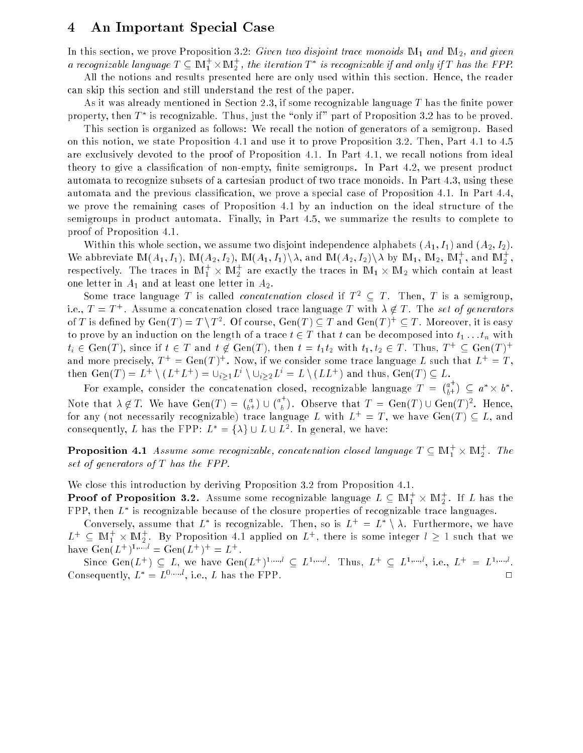#### 4 An Important Special Case 4

In this section, we prove Proposition 3.2: Given two disjoint trace monoids  $\mathbb{M}_1$  and  $\mathbb{M}_2$ , and given a recognizable language  $I \subseteq \mathbb{N}$   $_1^+ \times \mathbb{N}$  , the iteration  $I^+$  is recognizable if and only if  $I$  has the FPP.

All the notions and results presented here are only used within this section. Hence, the reader can skip this section and still understand the rest of the paper.

As it was already mentioned in Section 2.3, if some recognizable language  $T$  has the finite power property, then  $T$  is recognizable. Thus, just the some if  $p$  part of Proposition 3.2 has to be proved.

This section is organized as follows: We recall the notion of generators of a semigroup. Based on this notion, we state Proposition 4.1 and use it to prove Proposition 3.2. Then, Part 4.1 to 4.5 are exclusively devoted to the proof of Proposition 4.1. In Part 4.1, we recall notions from ideal theory to give a classification of non-empty, finite semigroups. In Part 4.2, we present product automata to recognize subsets of a cartesian product of two trace monoids. In Part 4.3, using these automata and the previous classication, we prove a special case of Proposition 4.1. In Part 4.4, we prove the remaining cases of Proposition 4.1 by an induction on the ideal structure of the semigroups in product automata. Finally, in Part 4.5, we summarize the results to complete to proof of Proposition 4.1.

Within this whole section, we assume two disjoint independence alphabets  $(A_1, I_1)$  and  $(A_2, I_2)$ . We abbreviate  $\mathbb{M}(A_1, I_1)$ ,  $\mathbb{M}(A_2, I_2)$ ,  $\mathbb{M}(A_1, I_1) \setminus \lambda$ , and  $\mathbb{M}(A_2, I_2) \setminus \lambda$  by  $\mathbb{M}_1$ ,  $\mathbb{M}_2$ ,  $\mathbb{M}_1$ , and  $\mathbb{M}_2$ , respectively. The traces in  $\mathbb{I}\mathbb{N}_1^+ \times \mathbb{I}\mathbb{N}_2^+$  are exactly the traces in  $\mathbb{I}\mathbb{N}_1 \times \mathbb{I}\mathbb{N}_2$  which contain at least one letter in  $A_1$  and at least one letter in  $A_2$ .

Some trace language T is called *concatenation closed* if  $T^2 \subseteq T$ . Then, T is a semigroup, 1.e.,  $I = I$  + . Assume a concatenation closed trace language T with  $\lambda \notin I$  . The set of generators Of T is defined by Gen(T)  $\equiv$  T \T  $^{\circ}$  . Of course, Gen(T)  $\subseteq$  T and Gen(T)+  $\subseteq$  T . Moreover, it is easy to prove by an induction on the length of a trace  $t \in T$  that t can be decomposed into  $t_1 \ldots t_n$  with  $t_i \in \text{Gen}(T)$ , since if  $t \in T$  and  $t \notin \text{Gen}(T)$ , then  $t = t_1 t_2$  with  $t_1, t_2 \in T$ . Thus,  $T^+ \subseteq \text{Gen}(T)^+$ and more precisely,  $T^+ = \text{Gerl}(T)$  . Now, if we consider some trace language  $L$  such that  $L^+ = I$  , then Gen(1) = L+ \(L+L+) =  $\cup_{i>1}L^+$  \ $\cup_{i>2}L^+$  = L \(LL+) and thus, Gen(1)  $\subseteq L$ .

For example, consider the concatenation closed, recognizable language T =  $(a^+$  $\sigma +$ )  $\subset a^* \times b^*$ . Note that is that is the contract of the contract of the contract of the contract of the contract of the contract of the contract of the contract of the contract of the contract of the contract of the contract of the contr  $\binom{a}{b}$   $a_{\perp}$ for any (not necessarily recognizable) trace language L with  $L^+ = T$ , we have  $Gen(T) \subseteq L$ , and . Observe that  $I = \text{Gen}(I) \cup \text{Gen}(I)$ . Hence, consequently, L has the FFF:  $L^2 = \{\lambda\} \cup L \cup L^2$ . In general, we have:

**Proposition** 4.1 Assume some recognizable, concatenation closed language  $T \subseteq \mathbb{M}_1^+ \times \mathbb{M}_2^+$ . The set of generators of T has the FPP.

We close this introduction by deriving Proposition 3.2 from Proposition 4.1.

**Proof of Proposition 3.2.** Assume some recognizable language  $L\subseteq \mathbb{M}_1^+\times \mathbb{M}_2^+ .$  If  $L$  has the  $\Gamma\Gamma\Gamma$ , then  $L$  is recognizable because of the closure properties of recognizable trace languages.

Conversely, assume that  $L$  is recognizable. Then, so is  $L^+ = L^- \setminus A$ . Furthermore, we have  $L^+ \subseteq M_1^+ \times M_2^+$ . By Proposition 4.1 applied on  $L^+$ , there is some integer  $l \geq 1$  such that we have  $\det(L^+)^{\otimes m} = \det(L^+)^\perp = L^\perp$ .

SHICE GEN(L+)  $\subset L$ , we have Gen(L+)  $\cap$   $\cap$   $\subset$   $L$ - $\cap$ . Thus,  $L + \subset L$ - $\cap$ , i.e.,  $L + \equiv L$ - $\cap$ . Consequently,  $L^* = L^{0,\dots,l}$ , i.e., L has the FPP.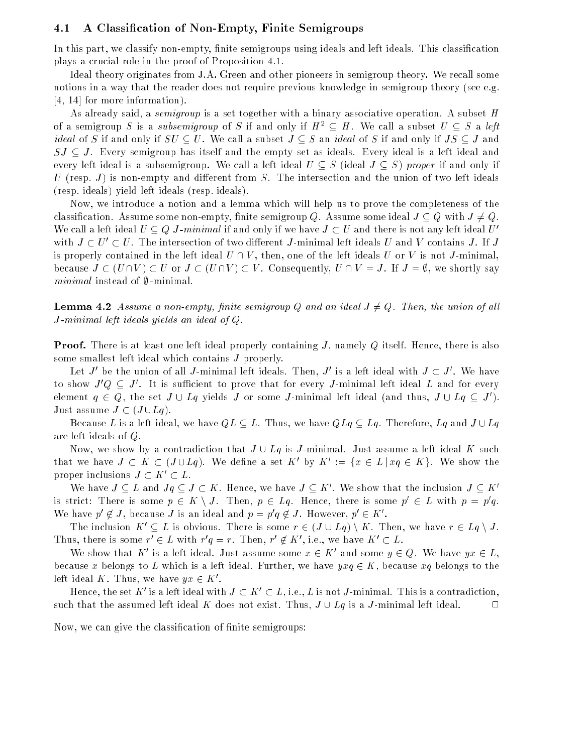#### 4.1 A Classication of Non-Empty, Finite Semigroups

In this part, we classify non-empty, finite semigroups using ideals and left ideals. This classification plays a crucial role in the proof of Proposition 4.1.

Ideal theory originates from J.A. Green and other pioneers in semigroup theory. We recall some notions in a way that the reader does not require previous knowledge in semigroup theory (see e.g. [4, 14] for more information).

As already said, a *semigroup* is a set together with a binary associative operation. A subset  $H$ of a semigroup S is a subsemigroup of S if and only if  $H^2 \subseteq H$ . We call a subset  $U \subseteq S$  a left *ideal* of S if and only if  $SU \subset U$ . We call a subset  $J \subset S$  an *ideal* of S if and only if  $JS \subset J$  and  $SJ \subseteq J$ . Every semigroup has itself and the empty set as ideals. Every ideal is a left ideal and every left ideal is a subsemigroup. We call a left ideal  $U \subseteq S$  (ideal  $J \subseteq S$ ) proper if and only if  $U$  (resp. J) is non-empty and different from  $S$ . The intersection and the union of two left ideals (resp. ideals) yield left ideals (resp. ideals).

Now, we introduce a notion and a lemma which will help us to prove the completeness of the classification. Assume some non-empty, finite semigroup Q. Assume some ideal  $J \subseteq Q$  with  $J \neq Q$ . We call a left ideal  $U \subseteq Q$  J-minimal if and only if we have  $J \subset U$  and there is not any left ideal U' with  $J \subset U' \subset U$ . The intersection of two different J-minimal left ideals U and V contains J. If J is properly contained in the left ideal  $U \cap V$ , then, one of the left ideals U or V is not J-minimal. because  $J \subset (U \cap V) \subset U$  or  $J \subset (U \cap V) \subset V$ . Consequently,  $U \cap V = J$ . If  $J = \emptyset$ , we shortly say minimal instead of  $\emptyset$  -minimal.

**Lemma 4.2** Assume a non-empty, finite semigroup Q and an ideal  $J \neq Q$ . Then, the union of all J-minimal left ideals yields an ideal of Q.

**Proof.** There is at least one left ideal properly containing  $J$ , namely  $Q$  itself. Hence, there is also some smallest left ideal which contains J properly.

Let  $J$  be the union of all  $J$ -minimal left ideals. Then,  $J$  is a left ideal with  $J\, \subset\, J$  . We have to show  $J Q \subset J$  . It is sufficient to prove that for every  $J$ -minimal left ideal  $L$  and for every element  $q\, \in\, Q$ , the set  $J\, \cup\, Lq$  yields  $J\,$  or some  $J$ -minimal left ideal (and thus,  $J\, \cup\, Lq\, \subset\, J$  ). Just assume  $J \subset (J \cup Lq)$ .

Because L is a left ideal, we have  $QL \subseteq L$ . Thus, we have  $QLq \subseteq Lq$ . Therefore,  $Lq$  and  $J \cup Lq$ are left ideals of Q.

Now, we show by a contradiction that  $J \cup Lq$  is J-minimal. Just assume a left ideal K such that we have  $J \subset K \subset (J \cup Lq)$ . We define a set  $K$  by  $K^- := \{x \in L \mid xq \in K\}$ . We show the proper inclusions  $J \subset K' \subset L$ .

We have  $J \subseteq L$  and  $Jg \subseteq J \subseteq \Lambda$ . Hence, we have  $J \subseteq \Lambda$ . We show that the inclusion  $J \subseteq \Lambda$ . is strict: There is some  $p \in K \setminus J$ . Then,  $p \in Lq$ . Hence, there is some  $p \in L$  with  $p = p \, q$ . We have  $p \notin J$ , because J is an ideal and  $p = p \notin J$ . However,  $p \in K$ .

The inclusion  $K' \subseteq L$  is obvious. There is some  $r \in (J \cup Lq) \setminus K$ . Then, we have  $r \in Lq \setminus J$ . I hus, there is some  $r \in L$  with  $r \notin r$ . I hen,  $r \notin R$ , i.e., we have  $R \subset L$ .

We show that  $K^0$  is a left ideal. Just assume some  $x \in K^0$  and some  $y \in Q$ . We have  $yx \in L$ , because x belongs to L which is a left ideal. Further, we have  $y x q \in K$ , because  $x q$  belongs to the left ideal  $\Lambda$  . I fius, we have  $\forall x \in \Lambda$  .

Hence, the set  $K$  is a left ideal with  $J \subset K \subset L$  , i.e.,  $L$  is not  $J$ -minimal. This is a contradiction, such that the assumed left ideal K does not exist. Thus,  $J \cup Lq$  is a J-minimal left ideal.  $\hfill \Box$ 

Now, we can give the classification of finite semigroups: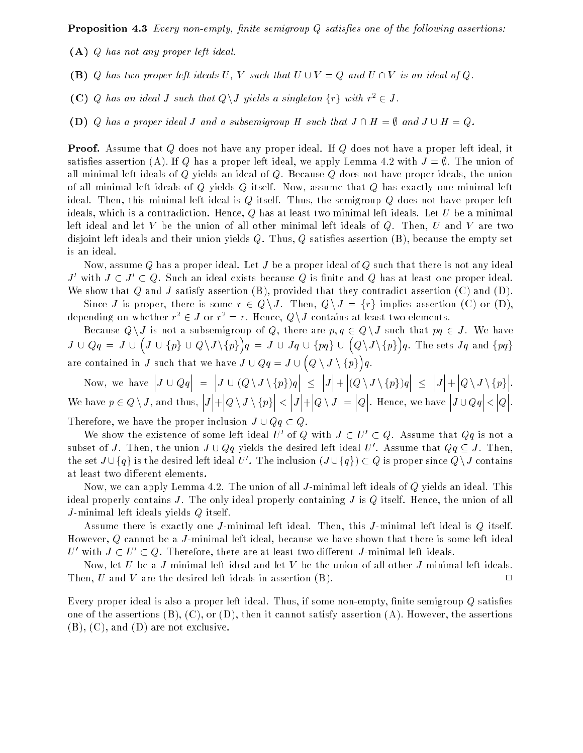**Proposition 4.3** Every non-empty, finite semigroup  $Q$  satisfies one of the following assertions:

- (A) Q has not any proper left ideal.
- (B) Q has two proper left ideals U, V such that  $U \cup V = Q$  and  $U \cap V$  is an ideal of Q.
- (C) Q has an ideal J such that  $Q \backslash J$  yields a singleton  $\{r\}$  with  $r^2 \in J$ .
- (D) Q has a proper ideal J and a subsemigroup H such that  $J \cap H = \emptyset$  and  $J \cup H = Q$ .

Proof. Assume that Q does not have any proper ideal. If Q does not have a proper left ideal, it satisfies assertion (A). If Q has a proper left ideal, we apply Lemma 4.2 with  $J = \emptyset$ . The union of all minimal left ideals of  $Q$  yields an ideal of  $Q$ . Because  $Q$  does not have proper ideals, the union of all minimal left ideals of Q yields Q itself. Now, assume that Q has exactly one minimal left ideal. Then, this minimal left ideal is Q itself. Thus, the semigroup Q does not have proper left ideals, which is a contradiction. Hence,  $Q$  has at least two minimal left ideals. Let U be a minimal left ideal and let V be the union of all other minimal left ideals of  $Q$ . Then,  $U$  and  $V$  are two disjoint left ideals and their union yields  $Q$ . Thus,  $Q$  satisfies assertion  $(B)$ , because the empty set is an ideal.

Now, assume  $Q$  has a proper ideal. Let  $J$  be a proper ideal of  $Q$  such that there is not any ideal J' with  $J \subset J' \subset Q$ . Such an ideal exists because Q is finite and Q has at least one proper ideal. We show that Q and J satisfy assertion  $(B)$ , provided that they contradict assertion  $(C)$  and  $(D)$ .

Since J is proper, there is some  $r \in Q \setminus J$ . Then,  $Q \setminus J = \{r\}$  implies assertion (C) or (D), depending on whether  $r^2 \in J$  or  $r^2 = r$ . Hence, Q \ J contains at least two elements.

Because  $Q\setminus J$  is not a subsemigroup of Q, there are  $p, q \in Q\setminus J$  such that  $pq \in J$ . We have  $J = \frac{1}{2}$   $\frac{1}{2}$   $\frac{1}{2}$   $\frac{1}{2}$   $\frac{1}{2}$  $\overline{\phantom{a}}$ J [ fpg [ QnJ nfpg  $\bigg\}$  $q = J \cup Jq \cup \{pq\} \cup \big( Q \setminus J \setminus \{p\} \big)$  $\sim$ q. The set of ground for given  $\mathbf{p}$ are contained in J such that we have  $\alpha$  is a good  $\alpha$  $\overline{\phantom{a}}$  $\sim$   $\sim$   $\sim$   $\sim$   $\sim$   $\sim$   $\sim$   $\sim$  $\sim$  $\sim$ 

Now, we have a set of the set of the set of the set of the set of the set of the set of the set of the set of  $J \cup Qq$  $\vert$  =  $J \cup (Q \setminus J \setminus \{p\})q$  $\vert$   $<$  $\overline{J}$  $|_+$  $|(Q \setminus J \setminus \{p\})q$  $|$  <  $\overline{J}$  $|_+$  $Q \setminus J \setminus \{p\}$   . where  $p \ge 0$ , is defined the thus,  $\vert_J$  $\vert +$  $Q \setminus J \setminus \{p\}$  $\vert$   $<$  $\vert_J$  $\vert +$  $|_{Q \setminus J}$  $\vert =$  $|_Q$   . Hence, we have  $J \cup Qq$  $\vert$  <  $|_Q$   . Therefore, we have the proper inclusion  $J \cup Qq \subset Q$ .

We show the existence of some left ideal  $U$  of  $Q$  with  $J \subset U \subset Q$ . Assume that  $Q \bar q$  is not a subset of J. Then, the union  $J\cup Qq$  yields the desired left ideal  $U$  . Assume that  $Qq\subseteq J$ . Then, the set  $J \cup \{q\}$  is the desired left ideal U  $\Box$  I he inclusion  $(J \cup \{q\}) \subset Q$  is proper since  $Q \setminus J$  contains at least two different elements.

Now, we can apply Lemma 4.2. The union of all J-minimal left ideals of Q yields an ideal. This ideal properly contains J. The only ideal properly containing J is  $Q$  itself. Hence, the union of all J-minimal left ideals yields Q itself.

Assume there is exactly one J-minimal left ideal. Then, this J-minimal left ideal is Q itself. However, Q cannot be a J-minimal left ideal, because we have shown that there is some left ideal  $U_{\perp}$  with  $J \subset U_{\perp} \subset U$ . Therefore, there are at least two different  $J$ -minimal left ideals.

Now, let  $U$  be a  $J$ -minimal left ideal and let  $V$  be the union of all other  $J$ -minimal left ideals. Then, U and V are the desired left ideals in assertion  $(B)$ .  $\Box$ 

Every proper ideal is also a proper left ideal. Thus, if some non-empty, finite semigroup  $Q$  satisfies one of the assertions  $(B)$ ,  $(C)$ , or  $(D)$ , then it cannot satisfy assertion  $(A)$ . However, the assertions (B), (C), and (D) are not exclusive.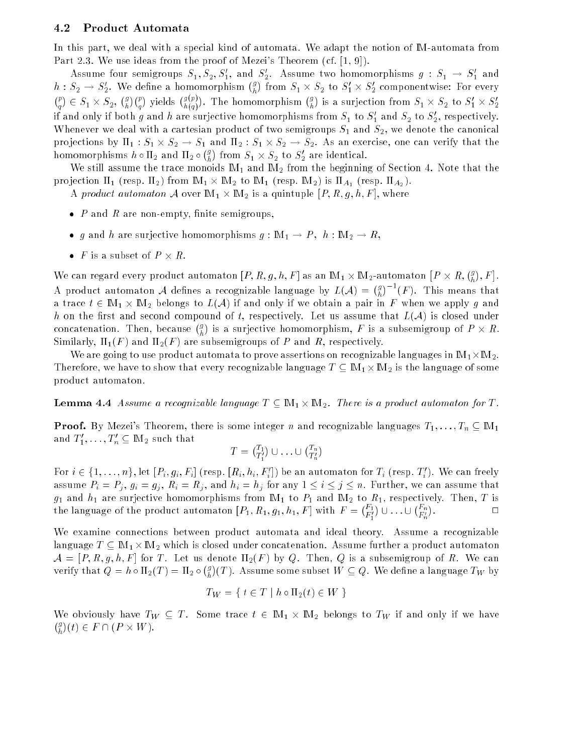#### 4.2 Product Automata

In this part, we deal with a special kind of automata. We adapt the notion of IM-automata from Part 2.3. We use ideas from the proof of Mezei's Theorem (cf. [1, 9]).

Assume four semigroups  $S_1, S_2, S_1$ , and  $S_2$ . Assume two nomomorphisms  $g : S_1 \to S_1$  and  $h: S_2 \to S'_2$ . We define a homomorphism  $\binom{g}{h}$  $(p)$   $\subset$   $C$   $\vee$   $C$   $(g)(p)$  rights  $(g(p))$  The hame from  $s_1 \times s_2$  to  $s_1 \times s_2$  componentwise: For every  $\sim$ . .  $2^{\sim}$   $\sim$  1  $\sim$   $\sim$  2  $\sim$  2  $\sim$ f g  $\setminus$  (p)  $\sim$ ) vields  $\binom{g(p)}{p}$  $\cdots$ ). The homomorphism  $\binom{g}{l}$  $\sim$ is a surjection from  $\beta_1 \times \beta_2$  to  $\beta_1 \times \beta_2$ If and only if both  $g$  and  $n$  are surjective nomomorphisms from  $S_1$  to  $S_1$  and  $S_2$  to  $S_2$ , respectively. Whenever we deal with a cartesian product of two semigroups  $S_1$  and  $S_2$ , we denote the canonical pro jections by 1 : S1 - S2 ! S1 and 2 : S1 - S2 ! S2. As an exercise, one can verify that the homomorphisms have had  $2$  and  $2$  g . .  $\text{from } \mathcal{S}_1 \times \mathcal{S}_2 \text{ to } \mathcal{S}_2 \text{ are identical.}$ 

We still assume the trace monoids  $M_1$  and  $M_2$  from the beginning of Section 4. Note that the pro jection 1 (resp. 2) from IM1 - IM2 to IM1 (resp. IM2) is A1 (resp. A2 ).

a product automator A over IM1 - IM2 and A over IM2 - IM2 - IS g; h; h; F [R; F ], where a

- $\bullet$  P and R are non-empty, finite semigroups,
- g and h are surjective homomorphisms  $g : \mathbb{M}_1 \to P$ ,  $h : \mathbb{M}_2 \to R$ ,
- 

We can regard every product automaton  $[P,R,g,h,F]$  as an  $\mathbb{M}_{1}\times \mathbb{M}_{2}$ -automaton [  $P \times R$ ,  $\binom{g}{L}$ ,  $F$ . A product automaton A de nes a recognizable language by L(A)  $\sim$  L(A)  $\sim$  L(A)  $\sim$  L(A)  $\sim$  L(A)  $\sim$  L(A)  $\sim$  $\binom{g}{k}^{-1}(F)$ . This means that a trace to 2 IM1 if 2 IM2 if and only if and only if we are a pair if pair in F when we apply g and h on the first and second compound of t, respectively. Let us assume that  $L(\mathcal{A})$  is closed under concatenation. Then, because  $\binom{g}{i}$ is a surjective homomorphism, F is a subsemigroup of P - R. Similarly,  $\Pi_1(F)$  and  $\Pi_2(F)$  are subsemigroups of P and R, respectively.

We are going to use product and the most assembly prove assertions on recognizable languages in IM1-12. Therefore, we have that every recognizable language  $\mathbf{H}$  is the language  $\mathbf{H}$  is the language of some product automaton.

**Lemma 4.4** Assume a recognizable language  $T \subseteq \mathbb{M}_1 \times \mathbb{M}_2$ . There is a product automaton for T.

**Proof.** By Mezei's Theorem, there is some integer n and recognizable languages  $T_1, \ldots, T_n \subseteq M_1$ and  $I_1, \ldots, I_n \subseteq \mathbb{M}$  such that

$$
T = \begin{pmatrix} T_1 \\ T_1' \end{pmatrix} \cup \ldots \cup \begin{pmatrix} T_n \\ T_n' \end{pmatrix}
$$

For  $i \in \{1, \ldots, n\}$ , let  $[F_i, g_i, F_i]$  (resp.  $[R_i, n_i, F_i]$ ) be an automaton for  $T_i$  (resp.  $T_i$  ). We can freely assume  $P_i = P_j$ ,  $g_i = g_j$ ,  $R_i = R_j$ , and  $h_i = h_j$  for any  $1 \le i \le j \le n$ . Further, we can assume that  $g_1$  and  $h_1$  are surjective homomorphisms from  $\mathbb{M}_1$  to  $P_1$  and  $\mathbb{M}_2$  to  $R_1$ , respectively. Then, T is  $\binom{F_1}{F_1'}$   $\binom{F_n}{F_n'}$   $\Box$ the language of the product automaton for  $\Gamma$ ; R1; R1;  $\Gamma$ ; F  $\Gamma$  ; F  $\Gamma$  , F  $\Gamma$  =  $\Gamma$ 

We examine connections between product automata and ideal theory. Assume a recognizable language T image T image  $\mu$  is closed under concatenation. Assume function. Assume function  $\mu$  $\mathcal{A} = [P, R, g, h, F]$  for T. Let us denote  $\Pi_2(F)$  by Q. Then, Q is a subsemigroup of R. We can verify that <sup>Q</sup> <sup>=</sup> <sup>h</sup> 2(T ) = 2  $(g)$  $\mathcal{L} = \mathcal{L}$  . Assume some subset  $\mathcal{L} = \mathcal{L}$  we define a subset of subset  $\mathcal{L} = \mathcal{L}$ 

$$
T_W = \{ t \in T \mid h \circ \Pi_2(t) \in W \}
$$

We obviously have TW  $\equiv$  T . Some trace t 2 IM1  $\alpha$  IM2 someon to TW if which say if we have  $(g)$  $\cdots$   $\cdots$   $\cdots$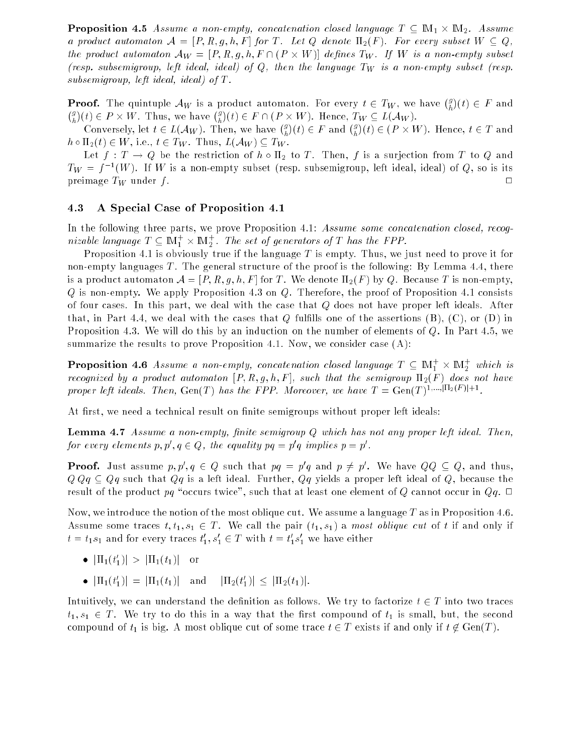**Proposition** 4.5 Assume a non-empty, concatenation closed language  $T \subseteq \mathbb{M}_1 \times \mathbb{M}_2$ . Assume a product automaton  $\mathcal{A} = [P, R, g, h, F]$  for T. Let Q denote  $\Pi_2(F)$ . For every subset  $W \subseteq Q$ , the product automaton APW = [P] is given APM (P - )) disputed in PW is a non-empty subsetting subset (resp. subsemigroup, left ideal, ideal) of  $Q$ , then the language  $T_W$  is a non-empty subset (resp. subsemigroup, left ideal, ideal) of T .

**Proof.** The quintuple  $\mathcal{A}_W$  is a product automaton. For every  $t \in T_W$ , we have  $\binom{g}{h}$ (t) <sup>2</sup> F and  $(g \setminus$ (t) <sup>2</sup> P - W. Thus, we have  $(g)$  $\mathcal{L} \subset \mathcal{L}$  , we can concern the  $\mathcal{L} \subset \mathcal{L}$  . Hence,  $\mathcal{L} \subset \mathcal{L}$ 

 $\alpha$  is a converse to  $\alpha$  . Then, we have the set of  $\alpha$  $({}^g_1)(t) \in F$  and  $({}^g_1)$ (t) 2 (P - 2 T and 2 T and 2 T and 2 T and 2 T and 2 T and 2 T and 2 T and 2 T and 2 T and 2 T and 2 T and 2 T  $h \circ \Pi_2(t) \in W$ , i.e.,  $t \in T_W$ . Thus,  $L(\mathcal{A}_W) \subseteq T_W$ .

Let  $f: T \to Q$  be the restriction of  $h \circ \Pi_2$  to T. Then, f is a surjection from T to Q and  $I_W = f^{-1}(W)$ . If W is a non-empty subset (resp. subsemigroup, left ideal, ideal) of Q, so is its preimage  $T_W$  under  $f$ .  $\Box$ 

#### 4.3 A Special Case of Proposition 4.1

In the following three parts, we prove Proposition 4.1: Assume some concatenation closed, recognizable language  $I \subseteq \mathbb{M}_1^+ \times \mathbb{M}_2^+$ . The set of generators of I has the FPP.

Proposition 4.1 is obviously true if the language  $T$  is empty. Thus, we just need to prove it for non-empty languages  $T$ . The general structure of the proof is the following: By Lemma 4.4, there is a product automaton  $\mathcal{A} = [P, R, g, h, F]$  for T. We denote  $\Pi_2(F)$  by Q. Because T is non-empty,  $Q$  is non-empty. We apply Proposition 4.3 on  $Q$ . Therefore, the proof of Proposition 4.1 consists of four cases. In this part, we deal with the case that Q does not have proper left ideals. After that, in Part 4.4, we deal with the cases that  $Q$  fulfills one of the assertions  $(B)$ ,  $(C)$ , or  $(D)$  in Proposition 4.3. We will do this by an induction on the number of elements of Q. In Part 4.5, we summarize the results to prove Proposition 4.1. Now, we consider case (A):

**Proposition 4.6** Assume a non-empty, concatenation closed language  $T \subseteq \mathbb{M}_1^+ \times \mathbb{M}_2^+$  which is recognized by a product automaton  $[P, R, g, h, F]$ , such that the semigroup  $\Pi_2(F)$  does not have proper left ideals. Then, Gen(T) has the FFP. Moreover, we have  $T = \text{Gen}(T)$ . Then,  $T = T$ 

At first, we need a technical result on finite semigroups without proper left ideals:

**Lemma 4.7** Assume a non-empty, finite semigroup  $Q$  which has not any proper left ideal. Then, for every elements  $p, p, q \in Q$ , the equality  $pq = p$  q implies  $p = p$ .

**Proof.** Just assume  $p, p', q \in Q$  such that  $pq = p'q$  and  $p \neq p'$ . We have  $QQ \subseteq Q$ , and thus,  $Q \, Q \, q \subseteq Q \, q$  such that  $Q \, q$  is a left ideal. Further,  $Q \, q$  yields a proper left ideal of  $Q$ , because the result of the product pq "occurs twice", such that at least one element of Q cannot occur in  $Qq$ .  $\Box$ 

Now, we introduce the notion of the most oblique cut. We assume a language  $T$  as in Proposition 4.6. Assume some traces  $t, t_1, s_1 \in T$ . We call the pair  $(t_1, s_1)$  a most oblique cut of t if and only if  $t = t_1 s_1$  and for every traces  $t_1, s_1 \in I$  with  $t = t_1 s_1$  we have either

- $\vert \Pi_1(t_1) \vert > \vert \Pi_1(t_1) \vert$  or
- $\bullet$   $|\Pi_1(t_1)| = |\Pi_1(t_1)|$  and  $|\Pi_2(t_1)| \leq |\Pi_2(t_1)|$ .

Intuitively, we can understand the definition as follows. We try to factorize  $t \in T$  into two traces  $t_1, s_1 \in T$ . We try to do this in a way that the first compound of  $t_1$  is small, but, the second compound of  $t_1$  is big. A most oblique cut of some trace  $t \in T$  exists if and only if  $t \notin Gen(T)$ .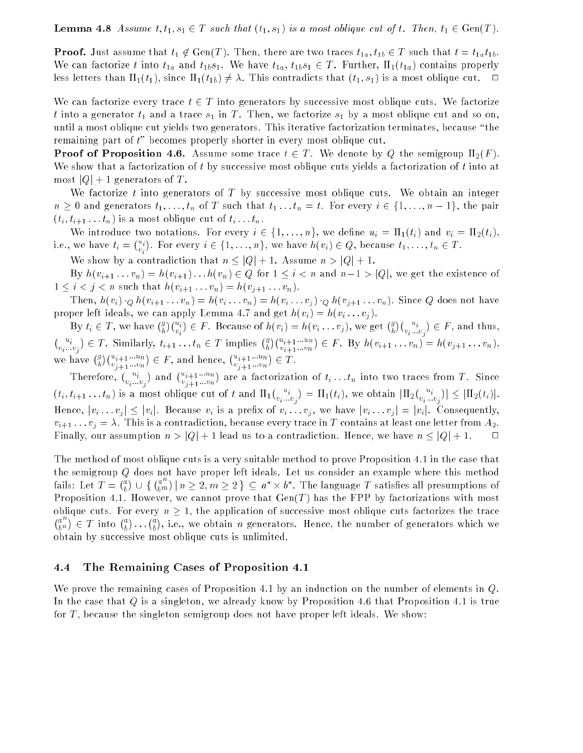**Lemma 4.8** Assume  $t, t_1, s_1 \in T$  such that  $(t_1, s_1)$  is a most oblique cut of t. Then,  $t_1 \in Gen(T)$ .

**Proof.** Just assume that  $t_1 \notin Gen(T)$ . Then, there are two traces  $t_{1a}$ ,  $t_{1b} \in T$  such that  $t = t_{1a}t_{1b}$ . We can factorize t into  $t_{1a}$  and  $t_{1b}s_1$ . We have  $t_{1a}$ ,  $t_{1b}s_1 \in T$ . Further,  $\Pi_1(t_{1a})$  contains properly less letters than  $\Pi_1(t_1)$ , since  $\Pi_1(t_{1b}) \neq \lambda$ . This contradicts that  $(t_1, s_1)$  is a most oblique cut.  $\Box$ 

We can factorize every trace  $t \in T$  into generators by successive most oblique cuts. We factorize t into a generator  $t_1$  and a trace  $s_1$  in T. Then, we factorize  $s_1$  by a most oblique cut and so on, until a most oblique cut yields two generators. This iterative factorization terminates, because \the remaining part of t" becomes properly shorter in every most oblique cut.

**Proof of Proposition 4.6.** Assume some trace  $t \in T$ . We denote by Q the semigroup  $\Pi_2(F)$ . We show that a factorization of t by successive most oblique cuts yields a factorization of t into at most  $|Q|+1$  generators of T.

We factorize t into generators of  $T$  by successive most oblique cuts. We obtain an integer  $n \geq 0$  and generators  $t_1, \ldots, t_n$  of T such that  $t_1 \ldots t_n = t$ . For every  $i \in \{1, \ldots, n-1\}$ , the pair  $(t_i, t_{i+1} \ldots t_n)$  is a most oblique cut of  $t_i \ldots t_n$ .

We introduce two notations. For every  $i \in \{1, \ldots, n\}$ , we define  $u_i = \Pi_1(t_i)$  and  $v_i = \Pi_2(t_i)$ , i.e., we have ti <sup>=</sup>  $\binom{u_i}{v_i}$  $\sim$ . For every in 2 first in the form in the fight  $\mathcal{L}$  of  $\mathcal{L}$  , the cause the fight  $\mathcal{L}$  in 2 T .

We show by a contradiction that  $n \leq |Q| + 1$ . Assume  $n > |Q| + 1$ .

By  $h(v_{i+1} \ldots v_n) = h(v_{i+1}) \ldots h(v_n) \in Q$  for  $1 \leq i < n$  and  $n-1 > |Q|$ , we get the existence of  $1 \leq i < j < n$  such that  $h(v_{i+1} \ldots v_n) = h(v_{j+1} \ldots v_n)$ .

Then,  $h(v_i) \cdot_Q h(v_{i+1} \ldots v_n) = h(v_i \ldots v_n) = h(v_i \ldots v_j) \cdot_Q h(v_{j+1} \ldots v_n)$ . Since Q does not have proper left ideals, we can apply Lemma 4.7 and get  $h(v_i) = h(v_i \dots v_j)$ .

 $\bullet$  time  $\bullet$  time  $\bullet$  time  $\bullet$  time  $\bullet$  time  $\bullet$  time  $\bullet$  time  $\bullet$  time  $\bullet$  g  $\binom{u_i}{v_i}$  $\binom{u_i}{v_i...v_j} \in T$ . Similarly,  $t_{i+1}...t_n \in T$  implies  $\binom{g}{h} \binom{u_{i+1}...u_n}{v_{i+1}...v_n} \in F$ . By  $h(v_{i+1}...v_n)$  $) \in F$ . Because of  $h(v_i) = h(v_i \dots v_j)$ , we get  $\binom{g}{h}$  $)(\begin{matrix} u_i \\ v_i \dots v_j \end{matrix})$  $\sim$ <sup>2</sup> F , and thus,  $\in T$ . Similarly,  $t_{i+1} \ldots t_n \in T$  implies  $\binom{g}{h}$  $\binom{u_{i+1}\ldots u_n}{v_{i+1}\ldots v_n}$  $\sim$  $2 = 1$  ,  $3 = 1$  :  $4 = 1$  :  $1 = 10$  ,  $10 = 10$  :  $10 = 10$  ,  $10 = 10$ we have (?  $(x_{i+1}\ldots u_n)\in F,$  and hence,  $(u_{i+1}\ldots u_n)\in T.$ 

Therefore,  $\binom{u_i}{v_i...v_j}$ ) and  $\binom{u_{i+1}\ldots u_n}{v_{i+1}\ldots v_n}$  are a factorization of time  $\mathbf{r}$  : the into traces from T . Since two traces from T . Since two traces from T . Since two traces from T . Since two traces from T . Since two traces from T . Since two traces from T . S  $(t_i,t_{i+1}\dots t_n)$  is a most oblique cut of  $t$  and  $\Pi_1(\begin{smallmatrix} u_i & u_j \cr v_i & \cdots & v_j \end{smallmatrix}) = \Pi_1(t_i),$  we obtain  $|\Pi_2(\begin{smallmatrix} v_i & u_j \cr v_i & \cdots & v_j \end{smallmatrix})| \leq |\Pi_2(t_i)|$ . Hence,  $|v_i \dots v_j| \leq |v_i|$ . Because  $v_i$  is a prefix of  $v_i \dots v_j$ , we have  $|v_i \dots v_j| = |v_i|$ . Consequently,  $v_{i+1} \ldots v_j = \lambda$ . This is a contradiction, because every trace in T contains at least one letter from  $A_2$ . Finally, our assumption  $n > |Q| + 1$  lead us to a contradiction. Hence, we have  $n \leq |Q| + 1$ .  $\Box$ 

The method of most oblique cuts is a very suitable method to prove Proposition 4.1 in the case that the semigroup Q does not have proper left ideals. Let us consider an example where this method a  $\bigcup$   $\bigcup$   $\{ \binom{a^{n}}{i m}$  $\bm{\nu}$  .  $\{ \n \mid n \geq 2, m \geq 2 \} \subset a^* \times b^*$ . The language T satisfies all presumptions of Proposition 4.1. However, we cannot prove that  $Gen(T)$  has the FPP by factorizations with most oblique cuts. For every  $n \geq 1$ , the application of successive most oblique cuts factorizes the trace  $a^{\prime\prime}$ v.  $) \in T$  into  $\binom{a}{i}$ ... $\binom{a}{i}$ , i.e., we obtain n generators. Hence, the number of generators which we obtain by successive most oblique cuts is unlimited.

#### 4.4 The Remaining Cases of Proposition 4.1

We prove the remaining cases of Proposition 4.1 by an induction on the number of elements in Q. In the case that Q is a singleton, we already know by Proposition 4.6 that Proposition 4.1 is true for  $T$ , because the singleton semigroup does not have proper left ideals. We show: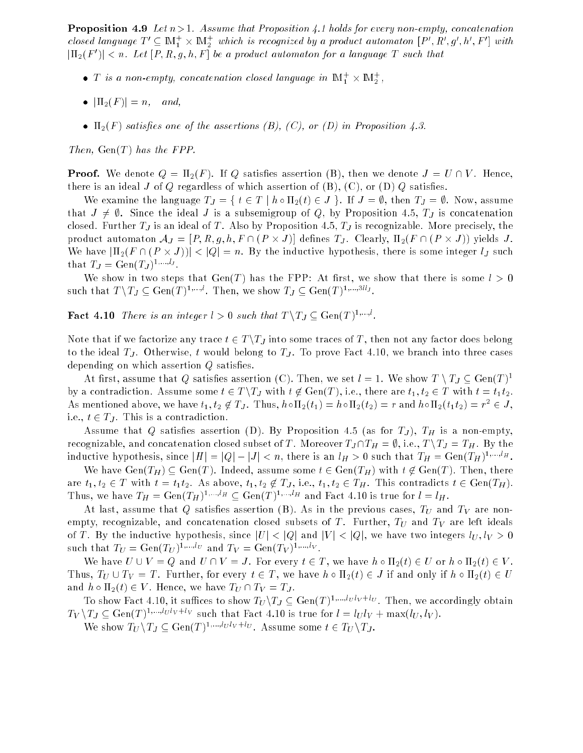**Proposition 4.9** Let  $n > 1$ . Assume that Proposition 4.1 holds for every non-empty, concatenation closed language  $I' \subseteq M_1 \times M_2$  which is recognized by a product automaton  $[P', K', g', h', F']$  with  $\left\{ \left\vert 11_{2}(T_{-})\right\vert < n,\; Let\; \left\vert F,R,g,n,T\right\vert \; be\; a\; proauct\; automaton\; for\; a\; language\; I\; such\; that\; \; b\; be\; a\; for\; a\; the\; a\; for\; a\; the\; a\; for\; a\; for\; a\; for\; a\; for\; a\; for\; a\; for\; a\; for\; a\; for\; a\; for\; a\; for\; a\; for\; a\; for\; a\; for\; a\; for\; a\; for\; a\; for\; a\; for\; a\; for\; a\;$ 

- $\bullet$  1 is a non-empty, concatenation closed language in  $\mathbb{N}_1^+ \times \mathbb{N}_2^-,$
- $\bullet$   $|\Pi_2(F)| = n$ , and,
- $\Pi_2(F)$  satisfies one of the assertions (B), (C), or (D) in Proposition 4.3.

Then,  $Gen(T)$  has the FPP.

**Proof.** We denote  $Q = \Pi_2(F)$ . If Q satisfies assertion (B), then we denote  $J = U \cap V$ . Hence, there is an ideal J of Q regardless of which assertion of  $(B)$ ,  $(C)$ , or  $(D)$  Q satisfies.

We examine the language  $T_J = \{ t \in T \mid h \circ \Pi_2(t) \in J \}$ . If  $J = \emptyset$ , then  $T_J = \emptyset$ . Now, assume that  $J \neq \emptyset$ . Since the ideal J is a subsemigroup of Q, by Proposition 4.5,  $T_J$  is concatenation closed. Further  $T_J$  is an ideal of T. Also by Proposition 4.5,  $T_J$  is recognizable. More precisely, the  $\mathbf{P}$  , and all  $\mathbf{P}$  are the function  $\mathbf{P}$  of  $\mathbf{P}$  . All  $\mathbf{P}$  is  $\mathbf{P}$  is the function of  $\mathbf{P}$ we have inductive inductive hypothesis, the inductive hypothesis, the integer later later  $Q$  such an  $Q$ that  $T_J = \text{Gen}(T_J)^{1,\dots, ij}$ .

We show in two steps that  $Gen(T)$  has the FPP: At first, we show that there is some  $l > 0$ such that  $T \setminus T_J \subseteq \text{Gen}(T)^{1,...,i}$ . Then, we show  $T_J \subseteq \text{Gen}(T)^{1,...,3}$ .

**Fact 4.10** There is an integer  $l > 0$  such that  $T \setminus T_J \subseteq \text{Gen}(T)^{1,...,l}$ .

Note that if we factorize any trace  $t \in T \backslash T_J$  into some traces of T, then not any factor does belong to the ideal  $T_J$ . Otherwise, t would belong to  $T_J$ . To prove Fact 4.10, we branch into three cases depending on which assertion  $Q$  satisfies.

At first, assume that  $Q$  satisfies assertion (C). Then, we set  $t = 1$  . We show  $T \setminus TJ \subseteq \text{Gen}(T)$  – by a contradiction. Assume some  $t \in T \backslash T_J$  with  $t \notin \text{Gen}(T)$ , i.e., there are  $t_1, t_2 \in T$  with  $t = t_1 t_2$ . As mentioned above, we have  $\iota_1, \iota_2 \notin I_J$ . Thus,  $n \circ \Pi_2(\iota_1) = n \circ \Pi_2(\iota_2) = r$  and  $n \circ \Pi_2(\iota_1 \iota_2) = r^- \in J,$ i.e.,  $t \in T_J$ . This is a contradiction.

Assume that Q satisfies assertion (D). By Proposition 4.5 (as for  $T_J$ ),  $T_H$  is a non-empty, recognizable, and concatenation closed subset of T. Moreover  $T_J \cap T_H = \emptyset$ , i.e.,  $T \setminus T_J = T_H$ . By the inductive hypothesis, since  $|H|=|Q|-|J| < n$ , there is an  $l_H > 0$  such that  $T_H = \text{Gen}(T_H)^{1,...,q_H}$ .

We have  $Gen(T_H) \subseteq Gen(T)$ . Indeed, assume some  $t \in Gen(T_H)$  with  $t \notin Gen(T)$ . Then, there are  $t_1, t_2 \in T$  with  $t = t_1t_2$ . As above,  $t_1, t_2 \notin T_J$ , i.e.,  $t_1, t_2 \in T_H$ . This contradicts  $t \in Gen(T_H)$ . Thus, we have  $T_H = Gen(T_H)^{1,...,i_H} \subseteq Gen(T)^{1,...,i_H}$  and Fact 4.10 is true for  $l = l_H$ .

At last, assume that Q satisfies assertion (B). As in the previous cases,  $T_U$  and  $T_V$  are nonempty, recognizable, and concatenation closed subsets of T. Further,  $T_U$  and  $T_V$  are left ideals of T. By the inductive hypothesis, since  $|U| < |Q|$  and  $|V| < |Q|$ , we have two integers  $l_U, l_V > 0$ such that  $T_U = \text{Gen}(T_U)^{1,...,i_U}$  and  $T_V = \text{Gen}(T_V)^{1,...,i_V}$ .

We have  $U \cup V = Q$  and  $U \cap V = J$ . For every  $t \in T$ , we have  $h \circ \Pi_2(t) \in U$  or  $h \circ \Pi_2(t) \in V$ . Thus,  $T_U \cup T_V = T$ . Further, for every  $t \in T$ , we have  $h \circ \Pi_2(t) \in J$  if and only if  $h \circ \Pi_2(t) \in U$ and  $h \circ \Pi_2(t) \in V$ . Hence, we have  $T_U \cap T_V = T_J$ .

To show Fact 4.10, it suffices to show  $T_U \backslash T_J \subseteq \text{Gen}(T)^{1,...,UUV+U}$ . Then, we accordingly obtain  $T_V \setminus T_J \subseteq \text{Gen}(T)^{1,\ldots,U_V}$  with such that Fact 4.10 is true for  $l = l_U l_V + \max(l_U, l_V)$ .

We show  $T_U \backslash T_J \subseteq \text{Gen}(T)^{1,\ldots,\ell_U V + \ell_U}$ . Assume some  $t \in T_U \backslash T_J$ .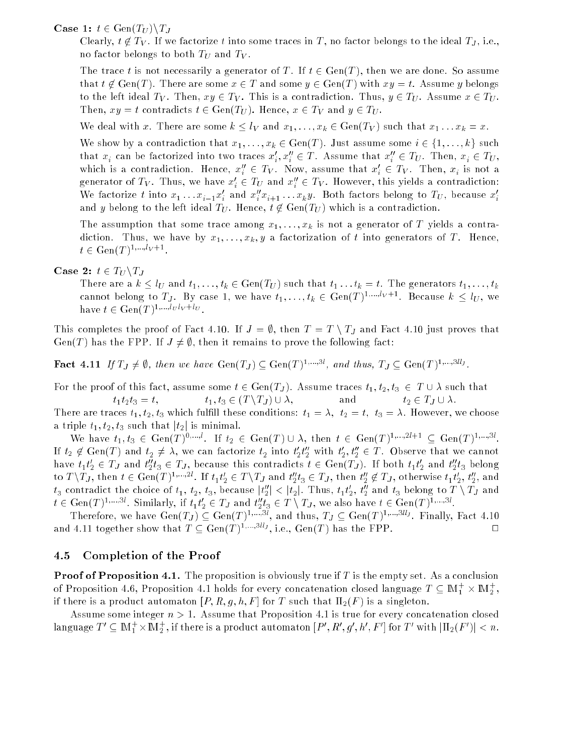**Case 1:**  $t \in \text{Gen}(T_U) \backslash T_J$ 

Clearly,  $t \notin T_V$ . If we factorize t into some traces in T, no factor belongs to the ideal  $T_J$ , i.e., no factor belongs to both  $T_U$  and  $T_V$ .

The trace t is not necessarily a generator of T. If  $t \in Gen(T)$ , then we are done. So assume that  $t \notin \text{Gen}(T)$ . There are some  $x \in T$  and some  $y \in \text{Gen}(T)$  with  $xy = t$ . Assume y belongs to the left ideal  $T_V$ . Then,  $xy \in T_V$ . This is a contradiction. Thus,  $y \in T_U$ . Assume  $x \in T_U$ . Then,  $xy = t$  contradicts  $t \in Gen(T_U)$ . Hence,  $x \in T_V$  and  $y \in T_U$ .

We deal with x. There are some  $k \leq l_V$  and  $x_1, \ldots, x_k \in \text{Gen}(T_V)$  such that  $x_1 \ldots x_k = x$ .

We show by a contradiction that  $x_1, \ldots, x_k \in \text{Gen}(T)$ . Just assume some  $i \in \{1, \ldots, k\}$  such that  $x_i$  can be factorized into two traces  $x_i, x_i \in I$  . Assume that  $x_i \in I_U$ . Then,  $x_i \in I_U$ , which is a contradiction. Hence,  $x_i\, \in\, IV$ . Now, assume that  $x_i\, \in\, IV$ . Then,  $x_i$  is not a generator of  $I_V$ . Thus, we have  $x_i \in I_U$  and  $x_i \in I_V$ . However, this yields a contradiction: We factorize t fill  $x_1 \ldots x_{i-1} x_i$  and  $x_i x_{i+1} \ldots x_k y$ . Both factors belong to  $I_U$ , because  $x_i$ and y belong to the left ideal  $T_U$ . Hence,  $t \notin Gen(T_U)$  which is a contradiction.

The assumption that some trace among  $x_1, \ldots, x_k$  is not a generator of T yields a contradiction. Thus, we have by  $x_1, \ldots, x_k, y$  a factorization of t into generators of T. Hence,  $t \in \text{Gen}(T)^{1,...,i}$ <sup>v+1</sup>.

### Case 2:  $t \in T_U \backslash T_J$

There are a  $k \leq l_U$  and  $t_1, \ldots, t_k \in \text{Gen}(T_U)$  such that  $t_1 \ldots t_k = t$ . The generators  $t_1, \ldots, t_k$ cannot belong to  $T_J$ . By case 1, we have  $t_1,\ldots,t_k\in \mathrm{Gen}(T)^{1,\ldots,\ell_V+1}.$  Because  $k\leq l_U,$  we have  $t \in \text{Gen}(T)^{1,\ldots, \ellUV+ \ell U}$ .

This completes the proof of Fact 4.10. If  $J = \emptyset$ , then  $T = T \setminus T_J$  and Fact 4.10 just proves that Gen(T) has the FPP. If  $J \neq \emptyset$ , then it remains to prove the following fact:

**Fact 4.11** If  $T_J \neq \emptyset$ , then we have  $Gen(T_J) \subseteq Gen(T)^{1,...,3i}$ , and thus,  $T_J \subseteq Gen(T)^{1,...,3i_J}$ .

For the proof of this fact, assume some  $t \in Gen(T_J)$ . Assume traces  $t_1, t_2, t_3 \in T \cup \lambda$  such that  $t_1t_2t_3 = t,$   $t_1, t_3 \in (T \setminus T_J) \cup \lambda,$  and  $t_2 \in T_J \cup \lambda.$ 

There are traces  $t_1, t_2, t_3$  which fulfill these conditions:  $t_1 = \lambda$ ,  $t_2 = t$ ,  $t_3 = \lambda$ . However, we choose a triple  $t_1, t_2, t_3$  such that  $|t_2|$  is minimal.

We have  $t_1, t_3 \in \text{Gen}(T)$ ,  $t_1, t_3 \in \text{Gen}(T)$ ,  $t_2 \in \text{Gen}(T) \cup \lambda$ , then  $t \in \text{Gen}(T)$ ,  $t_2, t_3 \in \text{Gen}(T)$ ,  $t_4, t_5 \in \text{Gen}(T)$ If  $t_2 \notin \text{Gen}(T)$  and  $t_2 \neq \lambda$ , we can factorize  $t_2$  filled  $t_2t_2$  with  $t_2, t_2 \in T$ . Observe that we cannot have  $t_1t_2 \in I$  and  $t_2t_3 \in I$  , because this contradicts  $t \in Gen(IJ)$ . If both  $t_1t_2$  and  $t_2t_3$  belong to  $I \setminus I$ j, then  $t \in \text{Gen}(I)$  ,  $\cdots$  . If  $t_1t_2 \in I \setminus I$  and  $t_2t_3 \in I$  j, then  $t_2 \notin I$  j, otherwise  $t_1t_2, t_2$ , and  $t_3$  contradict the choice of  $t_1, t_2, t_3$ , because  $|t_2| < |t_2|$ . Thus,  $t_1t_2, t_2$  and  $t_3$  belong to  $T \setminus T$  and  $t \in \text{Gen}(T)$ ,  $\ldots$ , Similarly, if  $t_1t_2 \in T$  and  $t_2t_3 \in T \setminus T$ , we also have  $t \in \text{Gen}(T)$ ,  $\ldots$ ,

Therefore, we have  $Gen(T_J) \subseteq Gen(T)^{1,...,3i}$ , and thus,  $T_J \subseteq Gen(T)^{1,...,3i,j}$ . Finally, Fact 4.10 and 4.11 together show that  $T \subseteq \text{Gen}(T)^{1,...,3^{\ell_i}J}$ , i.e.,  $\text{Gen}(T)$  has the FPP.  $\hfill \Box$ 

#### 4.5 4.5 Completion of the Proof

**Proof of Proposition 4.1.** The proposition is obviously true if  $T$  is the empty set. As a conclusion of Proposition 4.6, Proposition 4.1 holds for every concatenation closed language  $T\subseteq \mathbb{M}_1^+\times \mathbb{M}_2^+ ,$ if there is a product automaton  $[P, R, g, h, F]$  for T such that  $\Pi_2(F)$  is a singleton.

Assume some integer  $n > 1$ . Assume that Proposition 4.1 is true for every concatenation closed language  $I^+\subseteq$  IM $_1^+\times$ IM $_2^+$  , if there is a product automaton  $[F^{\prime},K,g^{\prime},h^{\prime},F^{\prime}]$  for  $I^+$  with  $|\Pi_2(F^{\prime})|< n.$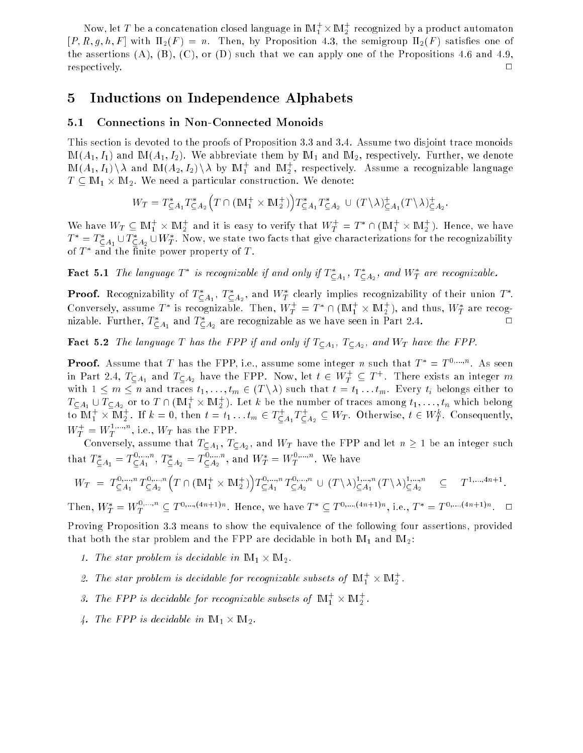Now, let  $I$  be a concatenation closed language in livi  $_1^\prime$   $\times$  livi  $_2^\prime$  recognized by a product automaton  $[P, R, g, h, F]$  with  $\Pi_2(F) = n$ . Then, by Proposition 4.3, the semigroup  $\Pi_2(F)$  satisfies one of the assertions  $(A)$ ,  $(B)$ ,  $(C)$ , or  $(D)$  such that we can apply one of the Propositions 4.6 and 4.9, respectively.  $\Box$ 

## 5 Inductions on Independence Alphabets

## 5.1 Connections in Non-Connected Monoids

This section is devoted to the proofs of Proposition 3.3 and 3.4. Assume two disjoint trace monoids  $M(A_1, I_1)$  and  $M(A_1, I_2)$ . We abbreviate them by  $M_1$  and  $M_2$ , respectively. Further, we denote IM( $A_1, I_1$ ))  $\lambda$  and IM( $A_2, I_2$ ))  $\lambda$  by IM $_1^\ast$  and IM $_2^\ast$ , respectively. Assume a recognizable language <sup>T</sup> IM1 - IM2. We need a particular construction. We denote:

$$
W_T = T_{\subseteq A_1}^* T_{\subseteq A_2}^* (T \cap (\mathbb{M}_1^+ \times \mathbb{M}_2^+)) T_{\subseteq A_1}^* T_{\subseteq A_2}^* \cup (T \backslash \lambda)_{\subseteq A_1}^+ (T \backslash \lambda)_{\subseteq A_2}^+.
$$

We have  $W_T \subseteq W_1 \times W_2$  and it is easy to verify that  $W_T = I$   $\cap$   $(W_1 \times W_2)$ . Hence, we have  $T^* \equiv T^*_{\mathsf{CA}_1} \cup T^*_{\mathsf{CA}_2} \cup W^*_T.$  Now, we state two facts that give characterizations for the recognizability of  $I$  and the nuite power property of  $I$ .

**Fact 5.1** The language  $T^*$  is recognizable if and only if  $T_{\mathsf{C}\, A_1}^*$ ,  $T_{\mathsf{C}\, A_2}^*$ , and  $W_T^*$  are recognizable.

**Proof.** Recognizability of  $T^*_{\mathsf{CA}_1}, T^*_{\mathsf{CA}_2},$  and  $W^*_T$  clearly implies recognizability of their union  $T^*.$ Conversely, assume T is recognizable. Then,  $W_T = T + 1$  (IM<sub>T</sub>  $\times$  IM<sub>2</sub>), and thus,  $W_T$  are recogmzable. Further,  $I_{\text{CA}_1}$  and  $I_{\text{CA}_2}$  are recognizable as we have seen in Part 2.4.  $\Box$ 

**Fact 5.2** The language T has the FPP if and only if  $T_{\textsf{CA}_1}$ ,  $T_{\textsf{CA}_2}$ , and  $W_T$  have the FPP.

**Proof.** Assume that  $T$  has the FPP, i.e., assume some integer  $n$  such that  $T^* = T^{0,...,n}$ . As seen in Part 2.4,  $I_{\mathsf{CA}_1}$  and  $I_{\mathsf{CA}_2}$  have the FPP. Now, let  $\imath \in W_T^+ \subseteq I$  '. There exists an integer  $m$ with  $1 \leq m \leq n$  and traces  $t_1, \ldots, t_m \in (T \setminus \lambda)$  such that  $t = t_1 \ldots t_m$ . Every  $t_i$  belongs either to  $T\subset A_1\,\cup\,T\subset A_2$  or to  $T\,\cap\, (\mathbb{M}_1^+\times\mathbb{M}_2^+)$ . Let  $k$  be the number of traces among  $t_1,\dots,t_n$  which belong to  $\mathbb{M}_1^+ \times \mathbb{M}_2^+$ . If  $k=0,$  then  $t=t_1 \dots t_m \in I_{\sub{A_1}}^+ L_{\sub{A_2}}^+ \subseteq W_T$ . Otherwise,  $t \in W_T^+$ . Consequently,  $W_T^+ = W_T^{+,\dots,\dots},$  i.e.,  $W_T$  has the FPP.

 $\sim$  1 m integer such TA1, TA2, and II be and the FPP and let  $\sim$   $\sim$   $\sim$  1  $\sim$  1  $\sim$  1  $\sim$  1  $\sim$ that  $T_{CA_1}^* = T_{CA_1}^{...}$  $\sum_{A_1}^{A_1}$ ,  $T_{A_2}^* = T_{A_2}^{A_1}$  $\mathcal{A}_{\mathcal{A}_2}^{(m)}$ , and  $W_T^{\perp} = W_T^{\perp,\dots,\perp}$ . We have

$$
W_T = T_{\subseteq A_1}^{0,\dots,n} T_{\subseteq A_2}^{0,\dots,n} \left( T \cap (\mathbb{M}_1^+ \times \mathbb{M}_2^+) \right) T_{\subseteq A_1}^{0,\dots,n} T_{\subseteq A_2}^{0,\dots,n} \cup (T \setminus \lambda)_{\subseteq A_1}^{1,\dots,n} (T \setminus \lambda)_{\subseteq A_2}^{1,\dots,n} \subseteq T^{1,\dots,4n+1}.
$$

Then,  $W_T^* = W_T^{*,*,*,*} \subseteq T^{0,*,*,(*;n+1)*}$ . Hence, we have  $T^* \subseteq T^{0,*,*,(*;n+1)*}$ , i.e.,  $T^* = T^{0,*,*,(*;n+1)*}$ .

Proving Proposition 3.3 means to show the equivalence of the following four assertions, provided that both the star problem and the FPP are decidable in both  $M_1$  and  $M_2$ :

- 1. The star problem is decidable in IM1 IM2.
- 2. The star problem is decidable for recognizable subsets of  $\|M_1\|\times \|M_2\|$ .
- 3. The FPP is decidable for recognizable subsets of  $\mathbb{M}_1^+\times \mathbb{M}_2^+$ .
- 4. The FPP is decidable in IM1 IM2.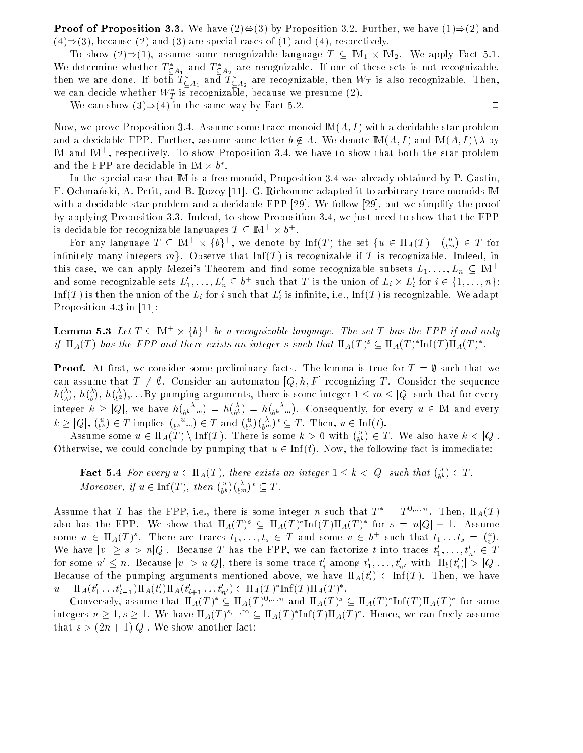**Proof of Proposition 3.3.** We have  $(2) \oplus (3)$  by Proposition 3.2. Further, we have  $(1) \Rightarrow (2)$  and  $(4) \Rightarrow (3)$ , because (2) and (3) are special cases of (1) and (4), respectively.

To show (2))(1), assume some recognization recognizable II in The Windows Street Street We determine whether  $I_{CA}$  and  $I_{CA}$  are recognizable. If one of these sets is not recognizable, then we are done. If both  $T_{\mathsf{CA}_1}^*$  and  $T_{\mathsf{CA}_2}^*$  are recognizable, then  $W_T$  is also recognizable. Then, we can decide whether  $w_T$  is recognizable, because we presume (2).

We can show  $(3) \Rightarrow (4)$  in the same way by Fact 5.2.

Now, we prove Proposition 3.4. Assume some trace monoid  $M(A, I)$  with a decidable star problem and a decidable FPP. Further, assume some letter  $b \notin A$ . We denote  $M(A, I)$  and  $M(A, I) \setminus \lambda$  by IM and IM<sup>+</sup> , respectively. To show Proposition 3.4, we have to show that both the star problem and the  $\verb|rrr|$  are decidable in IM  $\times$   $\bm{v}$  .

In the special case that IM is a free monoid, Proposition 3.4 was already obtained by P. Gastin, E. Ochmanski, A. Petit, and B. Rozoy [11]. G. Richomme adapted it to arbitrary trace monoids M with a decidable star problem and a decidable FPP [29]. We follow [29], but we simplify the proof by applying Proposition 3.3. Indeed, to show Proposition 3.4, we just need to show that the FPP is decidable for recognizable languages  $I \subseteq \mathbb{M}^+ \times \theta^+$ .

For any language  $I \subseteq \mathbb{N}$   $\mapsto$   $\{0\}$ , we denote by  $\text{ini}(I)$  the set  $\{u \in \text{ii}_A(I) \mid$  $\binom{u}{b^m}$ 2  $$ infinitely many integers  $m$ . Observe that Inf(T) is recognizable if T is recognizable. Indeed, in this case, we can apply Mezei's Theorem and find some recognizable subsets  $L_1, \ldots, L_n \subseteq \mathbb{M}^+$ and some recognizable sets  $L_1, \ldots, L_n \subseteq v$  such that T is the union of  $L_i \times L_i$  for  $i \in \{1, \ldots, n\}$ : Init T ) is then the union of the  $L_i$  for  $i$  such that  $L_i$  is infinite, i.e., Init T ) is recognizable. We adapt Proposition 4.3 in [11]:

**Lemma 5.3** Let  $T \subseteq \mathbb{M}^+ \times \{b\}^+$  be a recognizable language. The set T has the FPP if and only  $y$   $\prod_{A}(I)$  has the FFF and there exists an integer s such that  $\prod_{A}(I) \subseteq \prod_{A}(I)$   $\prod_{A}(I)$   $\prod_{A}(I)$ 

**Proof.** At first, we consider some preliminary facts. The lemma is true for  $T = \emptyset$  such that we can assume that  $T \neq \emptyset$ . Consider an automaton  $[Q, h, F]$  recognizing T. Consider the sequence  $\Delta\lambda$  $\bigtriangleup$  $\binom{\lambda}{b^2}$  , : : : :By pumping arguments, there is some integer is some integer integer integer integer integer integer in integer k jQj, we have h  $\binom{\lambda}{b^k-m}$  $\binom{\lambda}{b^k}$  $\binom{\lambda}{b^k+m}$ . Consequently, for every u <sup>2</sup> IM and every k jQj,  $\binom{u}{b^k} \in T$  implies  $\binom{u}{b^k - m} \in T$  and  $\binom{u}{b^k} \binom{\lambda}{b^m}^* \subseteq T$ . Then,  $u \in \text{Inf}(t)$ .

Assume some  $u \in \Pi_A(T) \setminus \text{Inf}(T)$ . There is some  $k > 0$  with  $\binom{u}{b^k}$ 2 T . We also have the contract of the set of  $\mathcal{L}_1$ Otherwise, we could conclude by pumping that  $u \in \text{Inf}(t)$ . Now, the following fact is immediate:

**Fact 5.4** For every  $u \in \Pi_A(T)$ , there exists an integer  $1 \leq k < |Q|$  such that  $\binom{u}{b^k}$ <sup>2</sup> T . Moreover, if  $u \in \mathrm{Inf}(T)$ , then  $\binom{u}{b^k}\binom{\lambda}{b^m}^* \subseteq T$ .

Assume that T has the FPP, i.e., there is some integer n such that  $T = T^{1,...,...}$ . Then,  $\Pi_A(T)$ also has the FFP. We show that  $\Pi_A(T)^\circ \subseteq \Pi_A(T)$   $\operatorname{HH}(T) \Pi_A(T)^\circ$  for  $s \equiv \pi |\mathcal{Q}| + 1$ . Assume some  $u \in \Pi_A(T)$ . There are traces  $t_1, \ldots, t_s \in T$  and some  $v \in \mathfrak{d}^+$  such that  $t_1 \ldots t_s$  =  $\ell^u$ We have  $|v| \geq s > n |Q|$ . Because I has the FPP, we can factorize l fillo traces  $t_1, \ldots, t_{n'} \in I$ for some  $n \leq n$ . Because  $|v| > n|Q|$ , there is some trace  $t_i$  among  $t_1, \ldots, t_{n'}$  with  $|\Pi_b(t_i)| > |Q|$ . because of the pumping arguments mentioned above, we have  $\Pi_A(\iota_i)\in\mathrm{Im}(T)$ . Then, we have  $u = \Pi_A(t_1 \ldots t_{i-1}) \Pi_A(t_i) \Pi_A(t_{i+1} \ldots t_{n'}) \in \Pi_A(T) \Pi(\Pi(T) \Pi_A(T)).$ 

Conversely, assume that  $\Pi_A(T) \subseteq \Pi_A(T)$ ,  $\ldots$ , and  $\Pi_A(T) \subseteq \Pi_A(T)$  inf(T)  $\Pi_A(T)$  for some integers  $n \geq 1$ ,  $s \geq 1$ . We have  $\Pi_A(T)$  ,  $\cdots$  is  $\subseteq \Pi_A(T)$  inited in  $A(T)$  . Hence, we can freely assume that  $s > (2n + 1)|Q|$ . We show another fact:

 $\Box$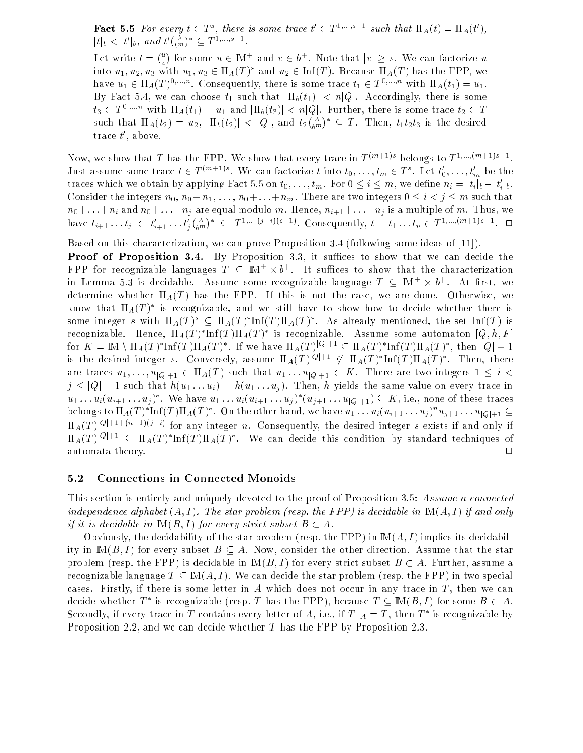**Fact 5.5** For every  $t \in T^s$ , there is some trace  $t' \in T^1, \ldots, s-1$  such that  $\Pi_A(t) = \Pi_A(t')$ ,  $|t|_b < |t'|_b$ , and  $t' \binom{\lambda}{b^m}^* \subseteq T^1, ..., s-1$ .

 $\binom{u}{k}$  for some  $u \in \mathbb{M}^+$  and  $v \in b^+$ . Note that  $|v| > s$ . We can factorize u into  $u_1, u_2, u_3$  with  $u_1, u_3 \in \Pi_A(T)$  and  $u_2 \in \Pi \Pi(T)$ . Because  $\Pi_A(T)$  has the FFF, we have  $u_1 \in \Pi_A(T)$ ,  $\dots$ . Consequently, there is some trace  $t_1 \in T$ ,  $\dots$  with  $\Pi_A(t_1) = u_1$ . By Fact 5.4, we can choose  $t_1$  such that  $|\Pi_b(t_1)| < n|Q|$ . Accordingly, there is some  $t_3 \in T^{0,...,n}$  with  $\Pi_A(t_1) = u_1$  and  $|\Pi_b(t_3)| < n|Q|$ . Further, there is some trace  $t_2 \in T$ such that A(t)  $\frac{1}{2}$  and the task and the task and the task and tasks and tasks and tasks and tasks and tasks and tasks and tasks and tasks and tasks and tasks and tasks and tasks and tasks and tasks and tasks and tas  $\binom{\lambda}{b^m}^* \subseteq T$ . Then,  $t_1t_2t_3$  is the desired trace  $\tau$  , above.

Now, we show that I has the FPP. We show that every trace in  $I^{(m+1)}$ s belongs to  $I^{(m),(m+1)}$ s 1. Just assume some trace  $t \in I$  (m+1)s. We can factorize t into  $t_0, \ldots, t_m \in I$  . Let  $t_0, \ldots, t_m$  be the traces which we obtain by applying Fact 5.5 on  $t_0, \ldots, t_m$ . For  $0 \leq i \leq m$ , we define  $n_i = |t_i|_b - |t_i|_b$ . Consider the integers  $n_0, n_0 + n_1, \ldots, n_0 + \ldots + n_m$ . There are two integers  $0 \le i \le j \le m$  such that  $n_0+\ldots+n_i$  and  $n_0+\ldots+n_j$  are equal modulo m. Hence,  $n_{i+1}+\ldots+n_j$  is a multiple of m. Thus, we nave  $i_{i+1} \ldots i_j \in i_{i+1} \ldots i_j$  $\binom{\lambda}{b^m}^* \subseteq T^{1,...,(j-i)(s-1)}$ . Consequently,  $t = t_1 \ldots t_n \in T^{1,...,(m+1)s-1}$ .  $\Box$ 

Based on this characterization, we can prove Proposition 3.4 (following some ideas of [11]).

**Proof of Proposition 3.4.** By Proposition 3.3, it suffices to show that we can decide the  $\texttt{FFT}$  for recognizable languages  $I \subseteq \mathbb{M}^+ \times \theta^+$ . It sumces to show that the characterization in Lemma 5.3 is decidable. Assume some recognizable language  $I$   $\;\subset$  1M+  $\times$  0+. At first, we determine whether  $\Pi_A(T)$  has the FPP. If this is not the case, we are done. Otherwise, we know that  $\mathrm{H}_A(T)$  is recognizable, and we still have to show how to decide whether there is some integer s with  $\Pi_A(T)^\ast \subseteq \Pi_A(T)^\ast \Pi \Pi(T) \Pi_A(T)^\ast$  . As already mentioned, the set  $\Pi \Pi(T)$  is recognizable. Hence,  $\Pi_A(T)$  initerpries is recognizable. Assume some automaton  $|Q,n,r|$ for  $K = \mathbb{N} \setminus \Pi_A(T)$  internal properties  $\Pi_A(T)$  in  $\mathbb{N} \setminus \Pi_A(T)$  internal properties  $\mathbb{N} \setminus \Pi_A(T)$  in  $\mathbb{N} \setminus \Pi_A(T)$  in  $\mathbb{N} \setminus \Pi_A(T)$ is the desired integer s. Conversely, assume  $\prod_{A}(T)^{(\ast)} \in \Sigma$   $\prod_{A}(T)$  inited  $\prod_{A}(T)$ . Then, there are traces  $u_1, \ldots, u_{|Q|+1} \in \Pi_A(T)$  such that  $u_1 \ldots u_{|Q|+1} \in K$ . There are two integers  $1 \leq i <$  $j \leq |Q| + 1$  such that  $h(u_1 \ldots u_i) = h(u_1 \ldots u_j)$ . Then, h yields the same value on every trace in  $u_1 \ldots u_i (u_{i+1} \ldots u_j)$  we have  $u_1 \ldots u_i (u_{i+1} \ldots u_j)$  ( $u_{j+1} \ldots u_{|Q|+1}$ )  $\subseteq$  A, i.e., none of these traces belongs to  $\Pi_A(T)$   $\text{Im}(T)$   $\Pi_A(T)$  . On the other hand, we have  $u_1 \ldots u_i (u_{i+1} \ldots u_j)$   $u_{j+1} \ldots u_{|Q|+1} \subseteq$  $\prod_{A}$ (T)  $\sim$  1+1+(n) =  $\sim$  50  $\sim$  for any integer n. Consequently, the desired integer s exists if and only if  $\prod_{A}(T)$  is the  $\subseteq$   $\prod_{A}(T)$  initial  $\prod_{A}(T)$  . We can decide this condition by standard techniques of automata theory.  $\Box$ 

#### 5.2 Connections in Connected Monoids

This section is entirely and uniquely devoted to the proof of Proposition 3.5: Assume a connected independence alphabet  $(A, I)$ . The star problem (resp. the FPP) is decidable in  $\mathbb{M}(A, I)$  if and only if it is decidable in  $\mathbb{M}(B, I)$  for every strict subset  $B \subset A$ .

Obviously, the decidability of the star problem (resp. the FPP) in  $M(A, I)$  implies its decidability in  $M(B, I)$  for every subset  $B \subseteq A$ . Now, consider the other direction. Assume that the star problem (resp. the FPP) is decidable in  $M(B, I)$  for every strict subset  $B \subset A$ . Further, assume a recognizable language  $T \subseteq M(A, I)$ . We can decide the star problem (resp. the FPP) in two special cases. Firstly, if there is some letter in A which does not occur in any trace in  $T$ , then we can decide whether T is recognizable (resp. T has the FFP), because  $T \subset \text{IM}(D, T)$  for some  $D \subset A$ . Secondly, if every trace in T contains every letter of  $A,$  i.e., if  $I = A = I$  , then T  $\;$  is recognizable by Proposition 2.2, and we can decide whether  $T$  has the FPP by Proposition 2.3.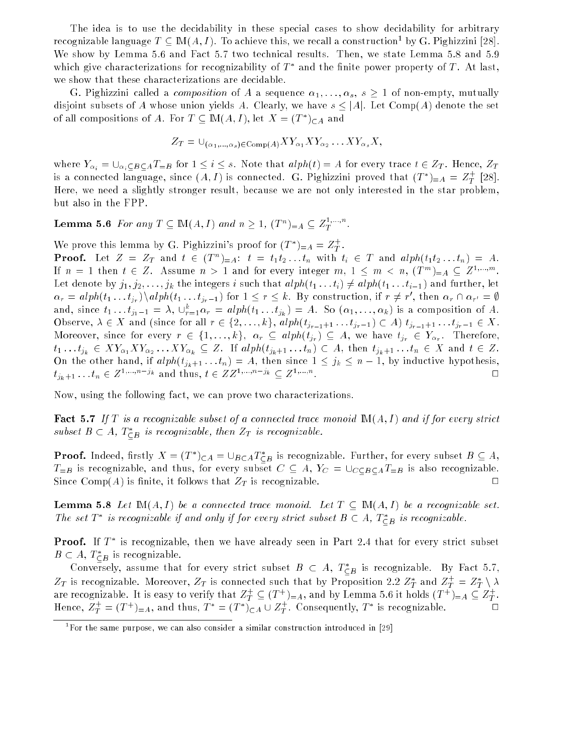The idea is to use the decidability in these special cases to show decidability for arbitrary recognizable language  $I \subseteq \text{I\!M}(A, I)$ . To achieve this, we recall a construction by G. Pighizzini [28]. We show by Lemma 5.6 and Fact 5.7 two technical results. Then, we state Lemma 5.8 and 5.9 which give characterizations for recognizability of  $I$  – and the finite power property of  $I$  . At last, we show that these characterizations are decidable.

G. Pighizzini called a *composition* of A a sequence  $\alpha_1, \ldots, \alpha_s$ ,  $s \geq 1$  of non-empty, mutually disjoint subsets of A whose union yields A. Clearly, we have  $s \leq |A|$ . Let Comp(A) denote the set of all compositions of A. For  $I \subseteq \mathbb{M}(A, I)$ , let  $A \equiv (I^-)_{\sub{A}}$  and

$$
Z_T = \bigcup_{(\alpha_1,\ldots,\alpha_s)\in \mathrm{Comp}(A)} XY_{\alpha_1} XY_{\alpha_2} \ldots XY_{\alpha_s} X,
$$

where  $Y_{\alpha_i} = \bigcup_{\alpha_i \subseteq B \subseteq A} T_{=B}$  for  $1 \leq i \leq s$ . Note that  $alph(t) = A$  for every trace  $t \in Z_T$ . Hence,  $Z_T$ is a connected language, since  $(A,I)$  is connected. G. Pighizzini proved that  $(I^-)_{=A} \, = \, Z^{+}_{T} \,$  [28]. Here, we need a slightly stronger result, because we are not only interested in the star problem, but also in the FPP.

Lemma 5.6 For any  $T\subseteq \mathbb{M}(A,I)$  and  $n\geq 1,$   $(T^n)_{=A}\subseteq Z_T^{1, ..., n}$ .

We prove this lemma by G. Pighizzini's proof for  $(T^*)_{=A} = Z_T^+$ . **Proof.** Let  $Z = Z_T$  and  $t \in (T^n)_{n=1}$ :  $t = t_1t_2...t_n$  with  $t_i \in T$  and  $alph(t_1t_2...t_n) = A$ . If  $n = 1$  then  $t \in \mathbb{Z}$ . Assume  $n > 1$  and for every integer  $m, 1 \leq m < n, (T^{\sim}) = A \subseteq \mathbb{Z}^{1, \cdots, \cdots}$ . Let denote by  $j_1, j_2, \ldots, j_k$  the integers i such that  $alph(t_1 \ldots t_i) \neq alph(t_1 \ldots t_{i-1})$  and further, let  $\alpha_r = u$   $p \mu_1 \mu_1 \ldots \mu_{jr}$  and  $p \mu_1 \mu_1 \ldots \mu_{jr-1}$  for  $1 \leq r \leq \kappa$ . By construction, if  $r \neq r$ , then  $\alpha_r \mu_1 \alpha_{r'} = \psi$ and, since  $\iota_1 \ldots \iota_{j_1-1} = \lambda, \; \cup_{r=1}^{\infty} \alpha_r = \mathit{aipn}(\iota_1 \ldots \iota_{j_k}) = A.$  So  $(\alpha_1, \ldots, \alpha_k)$  is a composition of  $A.$ Observe,  $\lambda \in X$  and (since for all  $r \in \{2, \ldots, k\}$ ,  $\alpha$ l $ph(t_{j_{r-1}+1} \ldots t_{j_r-1}) \subset A$ )  $t_{j_{r-1}+1} \ldots t_{j_r-1} \in X$ . , we have for the form  $\mathcal{S}$  is the function of  $\mathcal{S}$  is the  $\mathcal{S}$  of  $\mathcal{S}$  and  $\mathcal{S}$  is the form of  $\mathcal{S}$  is the function of  $\mathcal{S}$  is the form of  $\mathcal{S}$  is the form of  $\mathcal{S}$  is the form of  $\mathcal{$  $\alpha_1 \cdots \alpha_k \in \mathbb{R}$  and  $\alpha_2 \cdots \alpha_k \equiv e \cdots \alpha_k$  if  $\alpha_k$  if  $\alpha_k$  and  $\alpha_k$  and  $\alpha_k$ On the other hand, if  $alph(t_{j_k+1} \ldots t_n) = A$ , then since  $1 \leq j_k \leq n-1$ , by inductive hypothesis,  $t_{j_k+1} \dots t_n \in Z^{1,...,n-j_k}$  and thus,  $t \in ZZ^{1,...,n-j_k} \subseteq Z^{1,...,n}$ . . <sup>2</sup>

Now, using the following fact, we can prove two characterizations.

**Fact 5.7** If T is a recognizable subset of a connected trace monoid  $\mathbb{M}(A, I)$  and if for every strict subset  $B \subset A$ ,  $I_{\subset B}$  is recognizable, then  $Z_T$  is recognizable.

**Proof.** Indeed, firstly  $X=(T^*)_{\sub{A}}=\cup_{B\sub{A}}T^*_{\sub{B}}$  is recognizable. Further, for every subset  $B\subseteq A,$  $T_{=B}$  is recognizable, and thus, for every subset  $C \subseteq A$ ,  $Y_C = \bigcup_{C \subseteq B \subseteq A} T_{=B}$  is also recognizable. Since  $\text{Comp}(A)$  is finite, it follows that  $Z_T$  is recognizable.

**Lemma 5.8** Let  $\mathbb{M}(A, I)$  be a connected trace monoid. Let  $T \subseteq \mathbb{M}(A, I)$  be a recognizable set. The set T is recognizable if and only if for every strict subset  $B \subseteq A$ ,  $I_{\subseteq B}$  is recognizable.

**Proof.** If  $T^*$  is recognizable, then we have already seen in Part 2.4 that for every strict subset  $B \subset A, \ I \subset_B$  is recognizable.

Conversely, assume that for every strict subset  $B \subseteq A, T \subset_B$  is recognizable. By Fact 5.7,  $Z_T$  is recognizable. Moreover,  $Z_T$  is connected such that by Proposition 2.2  $Z_T$  and  $Z_T^+ = Z_T^+ \setminus \lambda$ are recognizable. It is easy to verify that  $\varphi_T^+\subseteq (I^+')_{=A},$  and by Lemma 5.6 it holds  $(I^+')_{=A}\subseteq \varphi_T^+.$ Hence,  $Z_T^+ = (I^+)_{=A}$ , and thus,  $I^+ = (I^+)_{\sub{A}} \cup Z_T^+$ . Consequently,  $I^+$  is recognizable.

<sup>1</sup> For the same purpose, we can also consider a similar construction introduced in [29]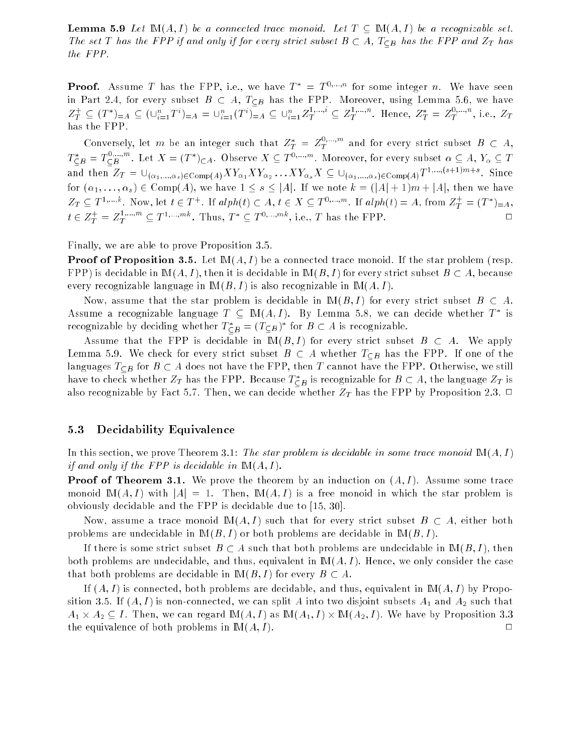**Lemma 5.9** Let  $\mathbb{M}(A, I)$  be a connected trace monoid. Let  $T \subseteq \mathbb{M}(A, I)$  be a recognizable set. The set T has the FPP if and only if for every strict subset  $B \subset A$ ,  $T_{\subseteq B}$  has the FPP and  $Z_T$  has the FPP.

**Proof.** Assume T has the FPP, i.e., we have  $T^* = T^{0,\dots,n}$  for some integer n. We have seen in Part 2.4, for every subset  $B \subset A$ ,  $T_{\subseteq B}$  has the FPP. Moreover, using Lemma 5.6, we have  $Z_T \subseteq (T^*)=A \subseteq (\cup_{i=1}^{n} T^*)=A = \cup_{i=1}^{n} (T^*)=A \subseteq \cup_{i=1}^{n} Z_T^{-m} \subseteq Z_T^{-m}$ . Hence,  $Z_T^* = Z_T^{-m}$ , i.e.,  $Z_T$ has the FPP.

Conversely, let  $m$  be an integer such that  $Z_T^+ = Z_T^{+,...,m}$  and for every strict subset  $B \, \subset \, A,$  $T_{\textsf{CB}}^* = T_{\textsf{CB}}^{-B}$ . Let  $X = (T^*)_{\textsf{CA}}$ . Observe  $X \subseteq T^{0,\dots,m}$ . Moreover, for every subset  $\alpha \subseteq A, Y_\alpha \subseteq T$ and then  $\Delta T = \bigcup_{(\alpha_1,\ldots,\alpha_s)\in \text{Comp}(A)} \Delta T_{\alpha_1} \Delta T_{\alpha_2} \ldots \Delta T_{\alpha_s} \Delta \subseteq \bigcup_{(\alpha_1,\ldots,\alpha_s)\in \text{Comp}(A)} T^{1,\ldots,(s+1),\ldots,s}$ . Since for  $(\alpha_1, \ldots, \alpha_s) \in \text{Comp}(A)$ , we have  $1 \leq s \leq |A|$ . If we note  $k = (|A| + 1)m + |A|$ , then we have  $Z_T \subseteq I^{r, ..., n}$ . Now, let  $t \in I^{+}$ . If  $\alpha p_n(t) \subset A, t \in A \subseteq I^{s, ..., m}$ . If  $\alpha p_n(t) = A$ , from  $Z_T^{+} = (I^{+})_{=A}$ ,  $t \in Z_T^+ = Z_T^{+,\dots,\dots}\subseteq T^{1,\dots,\dots,n}$ . Thus,  $T^*\subseteq T^{0,\dots,\dots,n}$ , i.e., T has the FPP.

Finally, we are able to prove Proposition 3.5.

**Proof of Proposition 3.5.** Let  $M(A, I)$  be a connected trace monoid. If the star problem (resp. FPP) is decidable in  $\mathbb{M}(A, I)$ , then it is decidable in  $\mathbb{M}(B, I)$  for every strict subset  $B \subset A$ , because every recognizable language in  $M(B, I)$  is also recognizable in  $M(A, I)$ .

Now, assume that the star problem is decidable in  $M(B, I)$  for every strict subset  $B \subset A$ . Assume a recognizable language  $I \subseteq \mathbb{M}(A, I)$ . By Lemma 5.8, we can decide whether  $I$  is recognizable by declaing whether  $I_{\subseteq B} = (I_{\subseteq B})$  for  $B \subseteq A$  is recognizable.

Assume that the FPP is decidable in  $M(B, I)$  for every strict subset  $B \subset A$ . We apply Lemma 5.9. We check for every strict subset  $B \subset A$  whether  $T_{\subseteq B}$  has the FPP. If one of the languages  $T_{\subseteq B}$  for  $B \subseteq A$  does not have the FPP, then T cannot have the FPP. Otherwise, we still have to check whether  $Z_T$  has the FPP. Because  $I_{\, \subset B}$  is recognizable for  $B \, \subset A,$  the language  $Z_T$  is also recognizable by Fact 5.7. Then, we can decide whether  $Z_T$  has the FPP by Proposition 2.3.  $\Box$ 

### 5.3 Decidability Equivalence

In this section, we prove Theorem 3.1: The star problem is decidable in some trace monoid  $M(A, I)$ if and only if the FPP is decidable in  $\mathbb{M}(A, I)$ .

**Proof of Theorem 3.1.** We prove the theorem by an induction on  $(A, I)$ . Assume some trace monoid  $\mathbb{M}(A, I)$  with  $|A| = 1$ . Then,  $\mathbb{M}(A, I)$  is a free monoid in which the star problem is obviously decidable and the FPP is decidable due to [15, 30].

Now, assume a trace monoid  $\mathbb{M}(A, I)$  such that for every strict subset  $B \subset A$ , either both problems are undecidable in  $M(B, I)$  or both problems are decidable in  $M(B, I)$ .

If there is some strict subset  $B \subset A$  such that both problems are undecidable in  $M(B, I)$ , then both problems are undecidable, and thus, equivalent in  $M(A, I)$ . Hence, we only consider the case that both problems are decidable in  $\mathbb{M}(B, I)$  for every  $B \subset A$ .

If  $(A, I)$  is connected, both problems are decidable, and thus, equivalent in  $M(A, I)$  by Proposition 3.5. If  $(A, I)$  is non-connected, we can split A into two disjoint subsets  $A_1$  and  $A_2$  such that A1 ''A2 I S' THAN '' CHTAIR IN CHAIR IN THE LAIR IN THE LAIR IN '' THE LAIR' '' '' IS THAN IN THAT AND THA the equivalence of both problems in  $M(A, I)$ .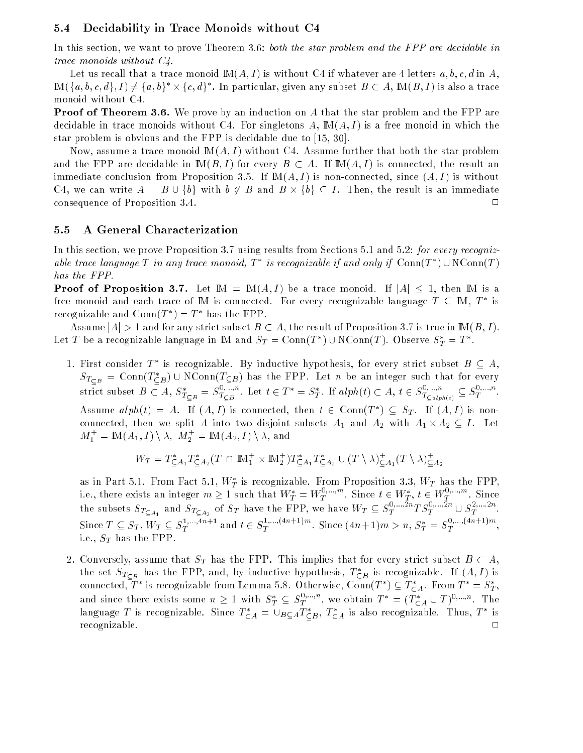### 5.4 Decidability in Trace Monoids without C4

In this section, we want to prove Theorem 3.6: both the star problem and the FPP are decidable in trace monoids without C4.

Let us recall that a trace monoid  $M(A, I)$  is without C4 if whatever are 4 letters  $a, b, c, d$  in A, IM( $\{a, b, c, a\}, I$ )  $\neq$   $\{a, b\}$   $\times$   $\{c, a\}$  . In particular, given any subset  $B$   $\subset$  A, IM( $B, I$ ) is also a trace monoid without C4.

**Proof of Theorem 3.6.** We prove by an induction on A that the star problem and the FPP are decidable in trace monoids without C4. For singletons  $A, M(A, I)$  is a free monoid in which the star problem is obvious and the FPP is decidable due to [15, 30].

Now, assume a trace monoid  $M(A, I)$  without C4. Assume further that both the star problem and the FPP are decidable in  $M(B, I)$  for every  $B \subset A$ . If  $M(A, I)$  is connected, the result an immediate conclusion from Proposition 3.5. If  $M(A, I)$  is non-connected, since  $(A, I)$  is without  $\blacksquare$  . Then, then, then, then, then, then, then, then, then, then, then, then, then, then, then, then, then, then, then, then, then, then, then, then, then, then, then, then, then, then, then, then, then, then, then, th consequence of Proposition 3.4. <sup>2</sup>  $\Box$ 

## 5.5 A General Characterization

In this section, we prove Proposition 3.7 using results from Sections 5.1 and 5.2: for every recognizable trace language 1 in any trace monoid, 1 is recognizable if and only if  $\text{Com}(T)$  for  $\text{Com}(T)$ has the FPP.

**Proof of Proposition 3.7.** Let  $M = M(A, I)$  be a trace monoid. If  $|A| < 1$ , then M is a free monoid and each trace of IM is connected. For every recognizable language  $I \subseteq \mathbb{M}$ ,  $I$  is recognizable and  $\text{Conn}(T^-) = T^-$  has the  $\text{FFT}$ .

Assume  $|A| > 1$  and for any strict subset  $B \subset A$ , the result of Proposition 3.7 is true in  $M(B, I)$ . Let T be a recognizable language in IM and  $ST = \text{Conn}(T) \cup \text{NConn}(T)$ . Observe  $S_T = T$ .

1. FIRST CONSIDER T is recognizable. By inductive hypothesis, for every strict subset  $B\subseteq A,$  $ST_{CB}$  = Conn( $T_{CB}$ )  $\cup$  NConn( $T_{CB}$ ) has the FPP. Let n be an integer such that for every strict subset  $B \subset A$ ,  $S_{T\subset B}^{\sim} = S_{T\subset B}^{\sim,\cdots,\sim}$ . Let  $t \in T^{\sim} = S_T^{\sim}$ . If  $alph(t) \subset A$ ,  $t \in S_{T\subset alph(t)}^{\sim,\cdots,\sim} \subseteq S_T^{\sim,\cdots,\sim}$ . Assume  $\alpha i p n(t) = A$ . If  $(A, I)$  is connected, then  $t \in \text{Comn}(I) \subseteq ST$ . If  $(A, I)$  is nonconnected, then we split as into two disjoint subsets A1 and A2 with A2 with A1  $\sim$  $M_1^+ = \mathbb{M}(A_1, I) \setminus \lambda, M_2^+ = \mathbb{M}(A_2, I) \setminus \lambda$ , and

$$
W_T = T_{\subseteq A_1}^* T_{\subseteq A_2}^*(T \cap \mathbb{M}_1^+ \times \mathbb{M}_2^+) T_{\subseteq A_1}^* T_{\subseteq A_2}^* \cup (T \setminus \lambda)_{\subseteq A_1}^+(T \setminus \lambda)_{\subseteq A_2}^+
$$

as in Part 5.1. From Fact 5.1,  $W_T^*$  is recognizable. From Proposition 3.3,  $W_T$  has the FPP,  $\mathbf{I}$  is recognizable. From Proposition 3.3, WT has the FPP, WT has the FPP, WT has the FPP, WT has the FPP, WT has the FPP, WT has the FPP, WT has the FPP, WT has the FPP, WT has the FPP, WT has the FPP, WT has the FP i.e., there exists an integer  $m\geq 1$  such that  $W^{\pm}_T=W^{\pm,\cdots,\cdots}_{T}$ . Since  $t\in W^{\pm}_T,~t\in W^{\pm,\cdots,\cdots}_{T}$  . Since the subsets  $S_{T_{\text{C}A_1}}$  and  $S_{T_{\text{C}A_2}}$  of  $S_T$  have the FPP, we have  $W_T \subseteq S_T^{\gamma_1,\gamma_2,\gamma_3,\gamma_4,\gamma_5,\gamma_6,\gamma_7}$ Since  $T \subseteq S_T$ ,  $W_T \subseteq S_T^{r;...,n+1}$  and  $t \in S_T^{r;...,...,s}$ . Since  $(4n+1)m > n$ ,  $S_T^{*} = S_T^{r;...,s;...,s}$ i.e.,  $S_T$  has the FPP.

2. Conversely, assume that  $S_T$  has the FPP. This implies that for every strict subset  $B \subset A$ , the set  $S_{T\subset B}^-$  has the FFP, and, by inductive hypothesis,  $I\subset_B$  is recognizable. If  $(A,I)$  is connected, T is recognizable from Lemma 5.8. Otherwise, Conn $(I^-)\subseteq I_{\subset A}$ . From  $I^-=S_T,$ and since there exists some  $n \geq 1$  with  $S_T^{\pi} \subseteq S_T^{\pi,\cdots,\infty}$ , we obtain  $T^{\pi} = (T_{CA}^{\pi} \cup T)^{0,\cdots,n}$ . The language 1 is recognizable. Since  $I_{\sub{A}} = \cup_{B \sub{A}} I_{\sub{B}}$ ,  $I_{\sub{A}}$  is also recognizable. Thus, 1 is recognizable.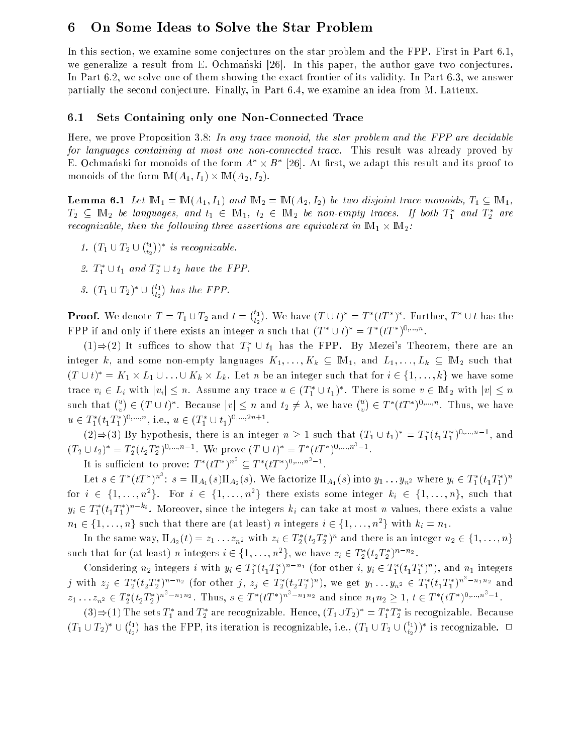#### 6 On Some Ideas to Solve the Star Problem 6

In this section, we examine some conjectures on the star problem and the FPP. First in Part 6.1, we generalize a result from E. Ochmanski [26]. In this paper, the author gave two conjectures. In Part 6.2, we solve one of them showing the exact frontier of its validity. In Part 6.3, we answer partially the second conjecture. Finally, in Part 6.4, we examine an idea from M. Latteux.

#### 6.1 Sets Containing only one Non-Connected Trace

Here, we prove Proposition 3.8: In any trace monoid, the star problem and the FPP are decidable for languages containing at most one non-connected trace. This result was already proved by E. Ochmanski for monoids of the form  $A \times B$  - [20]. At first, we adapt this result and its proof to monoids of the form IM(A1; I1) - IM(A2; I2).

**Lemma 6.1** Let  $\mathbb{M}_1 = \mathbb{M}(A_1, I_1)$  and  $\mathbb{M}_2 = \mathbb{M}(A_2, I_2)$  be two disjoint trace monoids,  $T_1 \subseteq \mathbb{M}_1$ ,  $I_2 \subseteq$   $\mathbb{I}$  with  $I_1$  be languages, and  $i_1 \in \mathbb{I}$   $\mathbb{I}$  is  $i_2 \in \mathbb{I}$  with  $i_2$  be non-empty traces. If both  $I_1$  and  $I_2$  are recognization, then the following three assertions are end in IM1 - the most in IM1 - the IM1 - the following t

 $\sim$  1  $\sim$  2  $\sim$  $\ell_1$ ) is recognizable.

 $\mathbb{Z}$ 

- 2.  $I_1 \cup I_1$  and  $I_2 \cup I_2$  nave the FFF.
- $J.$  (1  $\cup$  1  $2$ )  $\cup$  $\ell_1$ t2

<u>. .</u>

**Proof.** We denote  $T = T_1 \cup T_2$  and  $t = \binom{t_1}{t_1}$ t2 . We have  $(I \cup U) = I \setminus (I - I)$ . Further,  $I \cup U$  has the FFF if and only if there exists an integer n such that  $(I \cup U) = I \setminus (I \cap \cap \dots \cap I)$ 

 $(1) \Rightarrow (2)$  It suffices to show that  $T_1^* \cup t_1$  has the FPP. By Mezei's Theorem, there are an integer k, and some non-empty languages  $K_1, \ldots, K_k \subseteq M_1$ , and  $L_1, \ldots, L_k \subseteq M_2$  such that  $(T \cup t)$  =  $K_1 \times L_1 \cup \ldots \cup K_k \times L_k$  . Let n be an integer such that for  $i \in \{1, \ldots, k\}$  we have some trace  $v_i \in L_i$  with  $|v_i| \leq n$ . Assume any trace  $u \in (T_1 \cup t_1)$ . There is some  $v \in \mathbb{N}$  with  $|v| \leq n$ such that  $\binom{u}{v}$  $\in$  (1  $\cup$  t). Decause  $|v| \leq u$  and  $t_2 \neq \lambda$ , we have  $\binom{u}{v} \in T^*(tT^*)^{\mathbb{0},\ldots,\mathbb{n}}$ . Thus, we have  $u \in I_1 \cup I_1 \cup \cdots \cup I_n$ , i.e.,  $u \in (I_1 \cup I_1) \cup \cdots \cup \cdots$ 

 $(2) \Rightarrow (3)$  by hypothesis, there is an integer  $n \geq 1$  such that  $(T_1 \cup t_1) = T_1 \left(t_1 T_1\right)$ , and  $(T_2 \cup t_2)^* = T_2^*(t_2 T_2^*)^{\mathsf{0}, \ldots, n-1}$ . We prove  $(T \cup t)^* = T^*(tT^*)^{\mathsf{0}, \ldots, n-1}$ .

It is sufficient to prove:  $T^{*}(tT^{*})^{n^{+}} \subseteq T^{*}(tT^{*})^{0,\ldots,n^{+}-1}$ .

Let  $s\in T^*(tT^*)^n$  :  $s=\Pi_{A_1}(s)\Pi_{A_2}(s)$ . We factorize  $\Pi_{A_1}(s)$  into  $y_1\ldots y_{n^2}$  where  $y_i\in T^*_1(t_1T^*_1)^n$ for  $i \in \{1, \ldots, n^*\}$ . For  $i \in \{1, \ldots, n^*\}$  there exists some integer  $\kappa_i \in \{1, \ldots, n\}$ , such that  $y_i \in T^*_1(t_1T^*_1)^{n-\kappa_i}$ . Moreover, since the integers  $k_i$  can take at most n values, there exists a value  $n_1 \in \{1, \ldots, n\}$  such that there are (at least) n integers  $i \in \{1, \ldots, n\}$  with  $\kappa_i = n_1$ .

In the same way,  $\Pi_{A_2}(t) \equiv z_1 \ldots z_{n^2}$  with  $z_i \in I_2$   $\{t_2 I_2\}$  and there is an integer  $n_2 \in \{1, \ldots, n\}$ such that for (at least) n integers  $i \in \{1, \ldots, n^2\}$ , we have  $z_i \in I_2(t_2 I_2)^{1/2+2}$ .

Considering  $n_2$  integers i with  $y_i \in I_1$  ( $t_1$   $t_1$ )  $\cdots$  (for other i,  $y_i \in I_1$  ( $t_1$   $t_1$ )), and  $n_1$  integers j with  $z_j \in T_2^*(t_2T_2^*)^{n-n_2}$  (for other j,  $z_j \in T_2^*(t_2T_2^*)^n$ ), we get  $y_1 \ldots y_{n^2} \in T_1^*(t_1T_1^*)^{n^2-n_1n_2}$  and  $z_1 \ldots z_{n^2} \in T_2^*(t_2T_2^*)^{n^2-n_1n_2}$ . Thus,  $s \in T^*(tT^*)^{n^2-n_1n_2}$  and since  $n_1n_2 \geq 1$ ,  $t \in T^*(tT^*)^{0,\ldots,n^2-1}$ .

(5) $\Rightarrow$ (1) The sets  $T_1$  and  $T_2$  are recognizable. Hence, (1 $_1$ UT2)  $\equiv T_1$   $T_2$  is recognizable. Because  $(1_1 \cup 1_2)$  U  $\mu_1$  $\sim$ has the FPP, its iteration is recognization i.e.,  $\mathcal{C} = \mathcal{C} \times \mathcal{C}$  $\mu_1$  $\sim$ ) is recognizable. ⊔

<u>. .</u>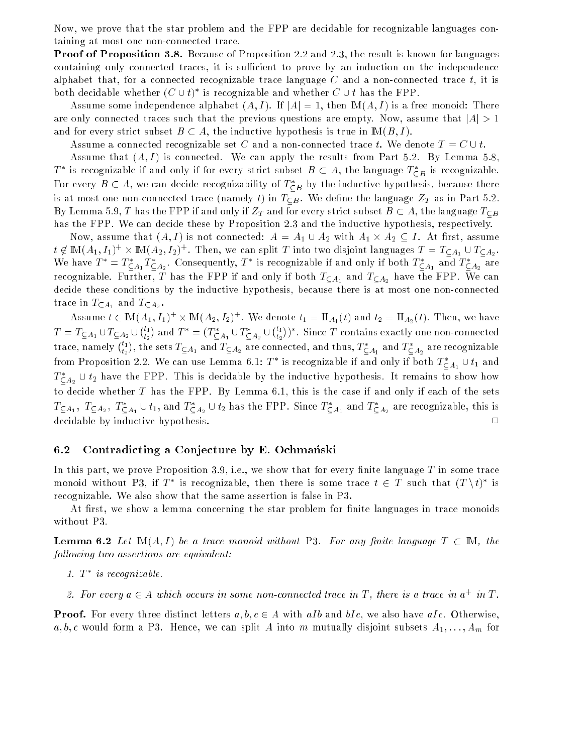Now, we prove that the star problem and the FPP are decidable for recognizable languages containing at most one non-connected trace.

**Proof of Proposition 3.8.** Because of Proposition 2.2 and 2.3, the result is known for languages containing only connected traces, it is sufficient to prove by an induction on the independence alphabet that, for a connected recognizable trace language  $C$  and a non-connected trace  $t$ , it is both decidable whether  $(C \cup t)$  is recognizable and whether  $C \cup t$  has the FPP.

Assume some independence alphabet  $(A, I)$ . If  $|A| = 1$ , then  $M(A, I)$  is a free monoid: There are only connected traces such that the previous questions are empty. Now, assume that  $|A| > 1$ and for every strict subset  $B \subset A$ , the inductive hypothesis is true in  $M(B, I)$ .

Assume a connected recognizable set C and a non-connected trace t. We denote  $T = C \cup t$ .

Assume that  $(A, I)$  is connected. We can apply the results from Part 5.2. By Lemma 5.8,  $I$  is recognizable if and only if for every strict subset  $B\, \subset\, A,$  the language  $\,I_{\, \subset B}\,$  is recognizable. For every  $B\, \subset\, A,$  we can decide recognizability of  $I\, \subset\, B$  by the inductive hypothesis, because there is at most one non-connected trace (namely t) in  $T_{\text{CB}}$ . We define the language  $Z_T$  as in Part 5.2. By Lemma 5.9, T has the FPP if and only if  $Z_T$  and for every strict subset  $B\subset A$ , the language  $T_{\subseteq B}$ has the FPP. We can decide these by Proposition 2.3 and the inductive hypothesis, respectively.

now, assume that (Ap) is not connected: A = A1 Y in  $\alpha$  . All  $\alpha$  and  $\alpha$  is the animal  $t \notin \mathbb{N}(\{A_1, I_1\})' \times \mathbb{N}(\{A_2, I_2\})'$  . Then, we can split T into two disjoint languages  $I = I_{\mathsf{CA}_1} \cup I_{\mathsf{CA}_2}.$ we have  $T = T_{CA_1} T_{CA_2}$ . Consequently, T is recognizable if and only if both  $T_{CA_1}$  and  $T_{CA_2}$  are recognizable. Further, T has the FPP if and only if both  $T_{\subseteq A_1}$  and  $T_{\subseteq A_2}$  have the FPP. We can decide these conditions by the inductive hypothesis, because there is at most one non-connected . trace in Ta1 and Ta2 and Ta2 and Ta2 and Ta2 and Ta2 and Ta2 and Ta2 and Ta2 and Ta2 and Ta2 and Ta2 and Ta2

Assume  $t \in \mathbb{M}(A_1, I_1)^+ \times \mathbb{M}(A_2, I_2)^+$ . We denote  $t_1 = \Pi_{A_1}(t)$  and  $t_2 = \Pi_{A_2}(t)$ . Then, we have  $T = T$  $\ell$ <sub>1</sub>  $\mathbb{Z}$ ) and  $T^*=(T_{\mathsf{C} A_1}^*\cup T_{\mathsf{C} A_2}^*\cup$  $\ell$ <sub>1</sub>  $\mathcal{L}_1$  ) . Since I contains exactly one non-connected trace, namely  $\binom{t_1}{t}$  $\mathbb{Z}$ ), the sets  $T_{\subseteq A_1}$  and  $T_{\subseteq A_2}$  are connected, and thus,  $T_{\subseteq A_1}^*$  and  $T_{\subseteq A_2}^*$  are recognizable from Proposition 2.2. We can use Lemma 6.1: This recognizable if and only if both  $T_{\mathsf{C} A_1} \cup \iota_1$  and  $T_{\text{C}A_2} \cup \iota_2$  have the FPP. This is decidable by the inductive hypothesis. It remains to show how to decide whether  $T$  has the FPP. By Lemma 6.1, this is the case if and only if each of the sets  $T \subseteq A_1$ ,  $T \subseteq A_2$ ,  $T \subseteq A_1 \cup t_1$ , and  $T \subseteq A_2 \cup t_2$  has the FPP. Since  $T \subseteq A_1$  and  $T \subseteq A_2$  are recognizable, this is decidable by inductive hypothesis. <sup>2</sup>

## 6.2 Contradicting a Conjecture by E. Ochmanski

In this part, we prove Proposition 3.9, i.e., we show that for every finite language  $T$  in some trace monoid without P3, if  $I$  is recognizable, then there is some trace  $t \in I$  such that  $(I \setminus t)$  is recognizable. We also show that the same assertion is false in P3.

At first, we show a lemma concerning the star problem for finite languages in trace monoids without P3.

**Lemma 6.2** Let  $M(A, I)$  be a trace monoid without P3. For any finite language  $T \subset M$ , the following two assertions are equivalent:

- 1. 1 is recognizable.
- z. For every  $a \in A$  which occurs in some non-connected trace in  $I$  , there is a trace in  $a+ m \, I$  .

**Proof.** For every three distinct letters  $a, b, c \in A$  with aIb and bIc, we also have aIc. Otherwise, a, b, c would form a P3. Hence, we can split A into m mutually disjoint subsets  $A_1, \ldots, A_m$  for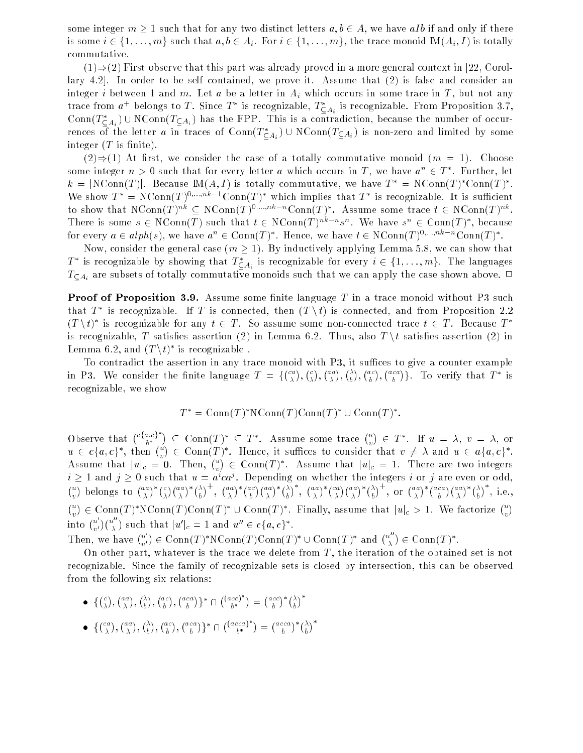some integer  $m \geq 1$  such that for any two distinct letters  $a, b \in A$ , we have aIb if and only if there is some  $i \in \{1, \ldots, m\}$  such that  $a, b \in A_i$ . For  $i \in \{1, \ldots, m\}$ , the trace monoid  $\mathbb{M}(A_i, I)$  is totally commutative.

 $(1) \Rightarrow (2)$  First observe that this part was already proved in a more general context in [22, Corollary 4.2]. In order to be self contained, we prove it. Assume that (2) is false and consider an integer i between 1 and m. Let a be a letter in  $A_i$  which occurs in some trace in T, but not any trace from  $a^+$  belongs to T. Since T is recognizable,  $T_{CA_i}$  is recognizable. From Proposition 3.1, Conn $(T_{\zeta A_i})$   $\cup$  NConn $(T_{\zeta A_i})$  has the FPP. This is a contradiction, because the number of occurrences of the letter  $a$  in traces of Conn( $T \subset A_i$ )  $\cup$  NConn( $T \subset A_i$ ) is non-zero and limited by some integer  $(T$  is finite).

 $(2) \Rightarrow (1)$  At first, we consider the case of a totally commutative monoid  $(m = 1)$ . Choose some integer  $n > 0$  such that for every letter  $a$  which occurs in  $I$  , we have  $a^+ \in I$  . Further, let  $\kappa =$  [NCOHII] I]. Decause EVI[A, I] is totally commutative, we have  $T =$  NCOHII[I] COHII[I]. We show  $T = N \text{Comn}(T)$ . Conn $(T)$  which implies that T is recognizable. It is sumclent to snow that  $N\text{-}\text{conn}(T)$  in  $\subset N\text{-}\text{conn}(T)$  is not connected to  $\subset N\text{-}\text{conn}(T)$ . Assume some trace  $t \in N\text{-}\text{conn}(T)$  in There is some  $s \in N$ Conn(T) such that  $t \in N$ Conn(T)  $\cdots$  s. We have  $s^m \in \text{Com}(T)$ , because for every  $a \in supp(s)$ , we have  $a^+ \in \text{Conn}(T)$  . Hence, we have  $t \in \text{NConn}(T)$  is reproduited.

Now, consider the general case  $(m \geq 1)$ . By inductively applying Lemma 5.8, we can show that  $I^+$  is recognizable by showing that  $I_{\sub{A_i}}^-$  is recognizable for every  $i \in \{1, \ldots, m\}$ . The languages  $T_{\text{C}_A_i}$  are subsets of totally commutative monoids such that we can apply the case shown above.  $\Box$ 

**Proof of Proposition 3.9.** Assume some finite language  $T$  in a trace monoid without P3 such that  $I$  is recognizable. If  $I$  is connected, then  $(I \setminus U)$  is connected, and from Proposition 2.2 (1 \t) is recognizable for any  $t \in I$  . So assume some non-connected trace  $t \in I$  . Because  $I$ is recognizable, T satisfies assertion (2) in Lemma 6.2. Thus, also  $T \setminus t$  satisfies assertion (2) in Lemma  $6.2$ , and  $(T \setminus U)$  is recognizable.

To contradict the assertion in any trace monoid with  $P3$ , it suffices to give a counter example in P3. We consider the mass considered  $\sim$  ca  $\sim$  c . . aa . .  $\sqrt{\lambda}$  $\sim$  ac  $\sim$  aca  $\}$ . To verify that  $T^*$  is recognizable, we show

$$
T^* = \text{Conn}(T)^* \text{NConn}(T) \text{Conn}(T)^* \cup \text{Conn}(T)^*.
$$

Observe that  $({}^{c,a,c}_{l}{}^{c})$  $u \in c\{a,c\}^*$ , then  $\binom{u}{b} \in \text{Conn}(T)^*$ . Hence, it suffices to consider  $\subset$  Conn $(T)^* \subset T^*$ . Assume some trace  $\binom{u}{x} \in T^*$ . If  $u = \lambda$ ,  $v = \lambda$ , or . .  $\epsilon$  Conn(T). Hence, it sumces to consider that  $v \neq \lambda$  and  $u \in u_{\{a, c\}}$ . Assume that  $|u|_c = 0$ . Then,  $\binom{u}{v}$  $i \geq 1$  and  $j \geq 0$  such that  $u = a^ica^j$ . Depending on whether the integers i or j are even or odd,<br>  $u_{\lambda}$  helange to  $(a^a)^*(c) (aa)^*(\lambda)^+$   $(a^a)^*(ac) (aa)^*(\lambda)^*$   $(a^a)^*(ca) (aa)^*(\lambda)^+$  on  $(a^a)^*(aca) (aa)^*(\lambda)^*$  i.e.  $\in$  Conn(1). Assume that  $|u|_c = 1$ . There are two integers ) belongs to  $\binom{aa}{y}$  $\lambda^*$  (  $c$ aa  $\lambda^* / \lambda$  $\sim$   $+$  aa  $\lambda$  \* (a c aa  $\lambda^* / \lambda$  $)$  , aa  $\chi$   $\approx$   $\pi$ aa  $\lambda^* / \lambda$ ), or  $\binom{aa}{y}$  $\lambda^*$  (aca aa  $\lambda^* / \lambda$  , i.e.,  $\ell^u$ into  $\binom{u'}{u}$  $\in \text{Conn}(T)^*\text{NConn}(T)$ Conn $(T)^*\cup \text{Conn}(T)^*$ . Finally, assume that  $|u|_c>1$ . We factorize  $\binom{u}{v}$  $\upsilon$  $(u<sub>0</sub>)$  such that  $|u'|_c = 1$  and  $u'' \in c\{a,c\}^*$ . Then, we have  $\mu$ . .  $\in \text{Conn}(T)^* \text{NConn}(T) \text{Conn}(T)^* \cup \text{Conn}(T)^*$  and  $\binom{u^{n}}{y}$  $\in$  Conn(1).

 $\upsilon$ On other part, whatever is the trace we delete from  $T$ , the iteration of the obtained set is not recognizable. Since the family of recognizable sets is closed by intersection, this can be observed from the following six relations:

- for the contract of the contract of the contract of the contract of the contract of the contract of the contract of the contract of the contract of the contract of the contract of the contract of the contract of the contra  $(c)$  $(a\,a)$  $(\lambda)$  $\int$ ac  $\binom{a\,ca}{b}$ <sup>\*</sup>  $\cap$  $((acc)^{n}$  $\bm{\nu}$  $(acc)*$  $(\lambda)^{-1}$
- for the contract of the contract of the contract of the contract of the contract of the contract of the contract of the contract of the contract of the contract of the contract of the contract of the contract of the contra ca . . aa . .  $\sqrt{\lambda}$  $\sim$  ac . . aca )}\* ∩  $((acca))$  $\sigma^-$ . . acca \ \* *( λ* . .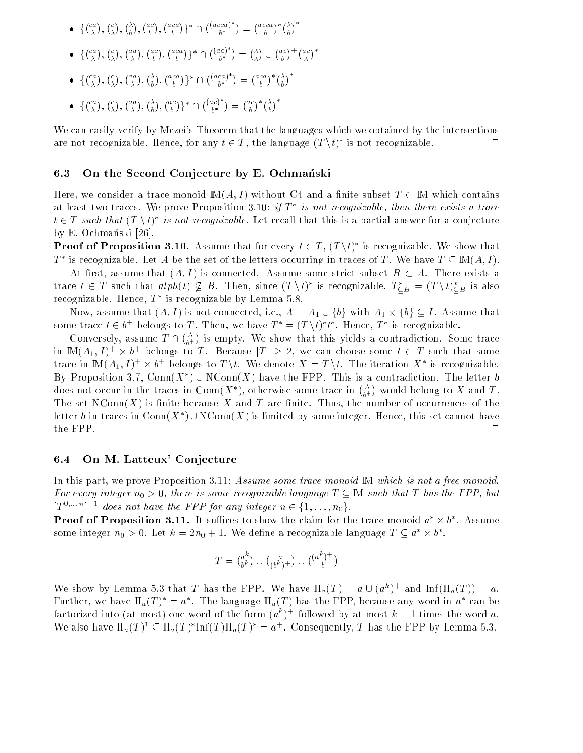- for the state of the state of the state of the state of the state of the state of the state of the state of the  $\sqrt{ca}$  $\ell$  $\bigtriangleup$  $ac<sub>1</sub>$  $\binom{aca}{k}$  n  $\pi$ acca)  $\sigma_-$ . .  $\left( acca\right)$  \*  $\left( \lambda\right)$
- for the state of the state of the state of the state of the state of the state of the state of the state of the  $(c\alpha)$  $(c)$  $(a\,a)$  $(a c)$  $\binom{aca}{k}$  n  $Aac$ )  $\sigma$  . . .  $(\lambda)$  $(a c)$  +  $(a c)$ \*
- for the state of the state of the state of the state of the state of the state of the state of the state of the ca . . c  $\sim$  aa . .  $\Lambda$  $\sim$  aca )}\*∩  $(1aca)$ <sup>\*</sup>  $\bm{\nu}$  $\sim$  aca  $\lambda^* / \lambda$ . .
- for the state of the state of the state of the state of the state of the state of the state of the state of the  $\sqrt{ca}$  $\ell$  $\sqrt{a}a$  $\bigtriangleup$  $\binom{ac}{k}$   $\uparrow$   $\uparrow$  $(1ac)$  $\bm{\nu}$   $(a c) * (\lambda)^T$

We can easily verify by Mezei's Theorem that the languages which we obtained by the intersections are not recognizable. Hence, for any  $t \in I$ , the language  $(T \setminus t)$  is not recognizable.

#### 6.3 On the Second Conjecture by E. Ochmanski

Here, we consider a trace monoid  $M(A, I)$  without C4 and a finite subset  $T \subset M$  which contains at least two traces. We prove Proposition 3.10:  $\eta$  T  $\tau$  is not recognizable, then there exists a trace  $t \in I$  such that  $(T \setminus t)$  is not recognizable. Let recall that this is a partial answer for a conjecture by E. Ochmanski [26].

**Proof of Proposition 3.10.** Assume that for every  $t \in T$ ,  $(T \backslash t)^*$  is recognizable. We show that I is recognizable. Let A be the set of the letters occurring in traces of I. We have  $I \subseteq \mathbb{M}(A, I)$ .

At first, assume that  $(A, I)$  is connected. Assume some strict subset  $B \subset A$ . There exists a trace  $t \in T$  such that  $\operatorname{atph}(t) \nsubseteq B$ . Then, since  $(T \setminus t)$  is recognizable,  $T \subset_B = (T \setminus t) \subset_B$  is also  ${\rm recog}$ mzable. Hence,  $I$  is recognizable by Lemma 5.8.

Now, assume that (Aq) of the connected, i.e., And An  $\|$  , A  $\|$  . A set  $\|$  . An  $\|$  . Assume that some trace  $t \in \theta^+$  belongs to T. Then, we have  $T^- = (T \setminus t)$  t. Hence, T is recognizable.

 $\binom{\lambda}{b}$  $\sim$  $\sim$  Conversely, assume T  $\sim$  Conversely, assume T  $\sim$  Conversely, assume T  $\sim$ is empty. We show that this yields a contradiction. Some trace In  $\mathbb{I}\mathbb{N}(A_1,I)^+ \times v^+$  belongs to  $I$  . Because  $|I|\geq 2,$  we can choose some  $t\in I$  such that some trace in  $\text{int}(A_1, I) \times \theta^+$  belongs to  $I \setminus \iota$ . We denote  $A = I \setminus \iota$ . The iteration  $A^-$  is recognizable. By Proposition 3.7, Conn( $X$  )  $\cup$  N Conn( $X$ ) have the FPP. This is a contradiction. The letter  $\theta$ does not occur in the traces in  ${\rm Conn}(X^*),$  otherwise some trace in  $\binom{\lambda}{b+1}$  $\sim$  $\cdots$  and  $\cdots$  and  $\cdots$  and  $\cdots$  and  $\cdots$  and  $\cdots$ The set  $NConn(X)$  is finite because X and T are finite. Thus, the number of occurrences of the letter  $v$  in traces in Conn( $X$  )  $\cup$  N Conn( $X$ ) is limited by some integer. Hence, this set cannot have  $\Box$ 

#### 6.4 On M. Latteux' Conjecture

In this part, we prove Proposition 3.11: Assume some trace monoid IM which is not a free monoid. For every integer  $n_0 > 0$ , there is some recognizable language  $T \subset \mathbb{M}$  such that T has the FPP, but  $[T_1, T_2, T_3]$  are not have the FPP for any integer  $n \in \{1, \ldots, n_0\}$ .

**Proof of Proposition 3.11.** It suffices to show the claim for the trace monoid  $a^* \times b^*$ . Assume some integer  $n_0 > 0$ . Let  $\kappa = \textit{z} n_0 + 1$ . We define a recognizable language  $I \subseteq a^+ \times b^+$ .

$$
T = \binom{a^k}{b^k} \cup \binom{a}{(b^k)^+} \cup \binom{(a^k)^+}{b}
$$

We show by Lemma 5.3 that I has the FPP. We have  $\Pi_a(I) = a \cup (a^+)^\perp$  and  $\text{Im}(\Pi_a(I)) = a$ . Further, we have  $\Pi_a(T) \equiv a$  . The language  $\Pi_a(T)$  has the FFF, because any word in  $a$  -can be ractorized into (at most) one word of the form  $(a^+)^+$  followed by at most  $\kappa = 1$  times the word  $a$ . We also have  $\Pi_a(T) \subseteq \Pi_a(T)$   $\text{Im}(T) \Pi_a(T) = a^+$ . Consequently, T has the FPP by Lemma 5.3.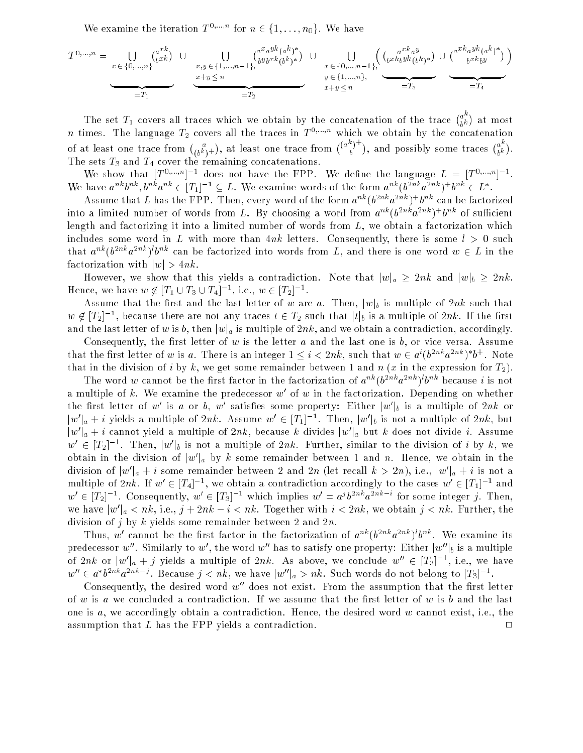We examine the iteration  $T^{0,\ldots,n}$  for  $n \in \{1,\ldots,n_0\}$ . We have

$$
T^{0,...,n} = \bigcup_{\substack{x \in \{0,...,n\} \\ \text{with } y \leq n}} \binom{a^{x k}}{b^{x k}} \cup \bigcup_{\substack{x,y \in \{1,...,n-1\} \\ \text{with } y \leq n}} \binom{a^{x} a^{y k} (a^{k})^{*}}{b^{y} b^{x k} (b^{k})^{*}} \cup \bigcup_{\substack{x \in \{0,...,n-1\} \\ \text{with } y \in \{1,...,n\} \\ \text{with } y \leq n}} \binom{a^{x k} a^{y}}{b^{x k} b^{y k} (b^{k})^{*}} \cup \binom{a^{x k} a^{y k} (a^{k})^{*}}{b^{x k} b^{y}} \right)
$$

The set  $T_1$  covers all traces which we obtain by the concatenation of the trace  $\binom{a}{k}$  $\upsilon$ . . n times. The language  $T_2$  covers all the traces in  $T^{0,\ldots,n}$  which we obtain by the concatenation of at least one trace from  $\binom{a}{(b^k)^+}$ ), at least one trace from  $\binom{(a^n-1)^n}{n}$ , and possibly some traces  $\binom{a^n-1}{b}$  $\bm{\nu}$  $\sim$ The sets  $T_3$  and  $T_4$  cover the remaining concatenations.

We show that  $|T^{\cdots}||$  a does not have the FFP. We define the language  $L = |T^{\cdots}||$ . We have  $a^{\dots}b^{\dots}$ ,  $b^{\dots}a^{\dots} \in |I_1|^{-1} \subseteq L$ . We examine words of the form  $a^{\dots}(b^{\dots}a^{\dots})$  form  $\in L$ .

Assume that  $L$  has the FFP. Then, every word of the form  $a^{++}(b^{--}a^{--})$  for can be factorized into a limited number of words from  $L$ . By choosing a word from  $a^{mn}(b^{n+m}a^{n+m})^{\top}b^{nm}$  of sumclent length and factorizing it into a limited number of words from  $L$ , we obtain a factorization which includes some word in L with more than  $4nk$  letters. Consequently, there is some  $l > 0$  such that  $a^{n+1}$  (b<sup>22</sup>nka<sup>2</sup>nk ) b<sup>22</sup> can be factorized into words from L, and there is one word  $w \in L$  in the factorization with  $|w| > 4nk$ .

However, we show that this yields a contradiction. Note that  $|w|_a \geq 2nk$  and  $|w|_b \geq 2nk$ . Hence, we have  $w \notin [T_1 \cup T_3 \cup T_4]$ , i.e.,  $w \in [T_2]$ .

Assume that the first and the last letter of w are a. Then,  $|w|_b$  is multiple of 2nk such that  $w \notin |I_2|^{-1}$ , because there are not any traces  $t \in I_2$  such that  $|t|_b$  is a multiple of  $2\pi k$ . If the first and the last letter of w is b, then  $|w|_a$  is multiple of  $2nk$ , and we obtain a contradiction, accordingly.

Consequently, the first letter of  $w$  is the letter  $a$  and the last one is  $b$ , or vice versa. Assume that the first letter of w is a. There is an integer  $1 \leq i \leq 2n\kappa$ , such that  $w \in a^+(b^{++}a^{++})$   $b^+$ . Note that in the division of i by k, we get some remainder between 1 and n (x in the expression for  $T_2$ ).

The word w cannot be the first factor in the factorization of  $a^{n+1}(b^{n+1}a^{n+1})$  because t is not a multiple of  $\kappa$ . We examine the predecessor  $w$  of  $w$  in the factorization. Depending on whether the first letter of w is a or b, w satisfies some property: Either  $\|w\|_b$  is a multiple of  $2\pi k$  or  $\|w\|_a + i$  yields a multiple of  $2n\kappa$ . Assume  $w_0 \in [T_1]$  . Then,  $\|w\|_b$  is not a multiple of  $2n\kappa$ , but  $\|w\|_a + i$  cannot yield a multiple of  $2n\kappa$ , because  $\kappa$  divides  $\|w\|_a$  but  $\kappa$  does not divide  $i$ . Assume  $w_{\ell-1} \in [T_2]$  . Then,  $|w_{\ell}|_b$  is not a multiple of  $2n\kappa$ , further, similar to the division of  $i$  by  $\kappa$ , we obtain in the division of  $|w\>|_a$  by  $\kappa$  some remainder between 1 and  $n$ . Hence, we obtain in the division of  $|w|_a + i$  some remainder between 2 and 2n (let recall  $\kappa > 2n$ ), i.e.,  $|w|_a + i$  is not a multiple of  $2n\kappa$ . If  $w_0 \in |I_4|^{-\epsilon}$ , we obtain a contradiction accordingly to the cases  $w_0 \in |I_1|^{-\epsilon}$  and  $w \in [T_2]$  . Consequently,  $w \in [T_3]$  which implies  $w = a \cdot b^{-1} a^{-1}$  for some integer j. Then, we have  $|w|_a < n\kappa$ , i.e.,  $\jmath + 2n\kappa - i < n\kappa$ . Together with  $i < 2n\kappa$ , we obtain  $j < n\kappa$ . Further, the division of j by k yields some remainder between 2 and  $2n$ .

I mus, we cannot be the first factor in the factorization of  $a^{n+1}$  ( $b^{n+1}$  and  $b^{n+1}$ ). We examine its predecessor w . Similarly to w, the word wo has to satisfy one property: Either  $|w|$  b is a multiple of 2nk or  $|w|_a + j$  yields a multiple of 2nk. As above, we conclude  $w^+ \in [T_3]^{-1}$ , i.e., we have  $w_0 \in a$  of  $a$  and  $a$ , because  $j < n\kappa$ , we have  $|w_0|_a > n\kappa$ . Such words do not belong to  $|T_3|_a$ .

Consequently, the desired word  $w''$  does not exist. From the assumption that the first letter of w is a we concluded a contradiction. If we assume that the first letter of w is b and the last one is  $a$ , we accordingly obtain a contradiction. Hence, the desired word  $w$  cannot exist, i.e., the assumption that  $L$  has the FPP yields a contradiction.  $\Box$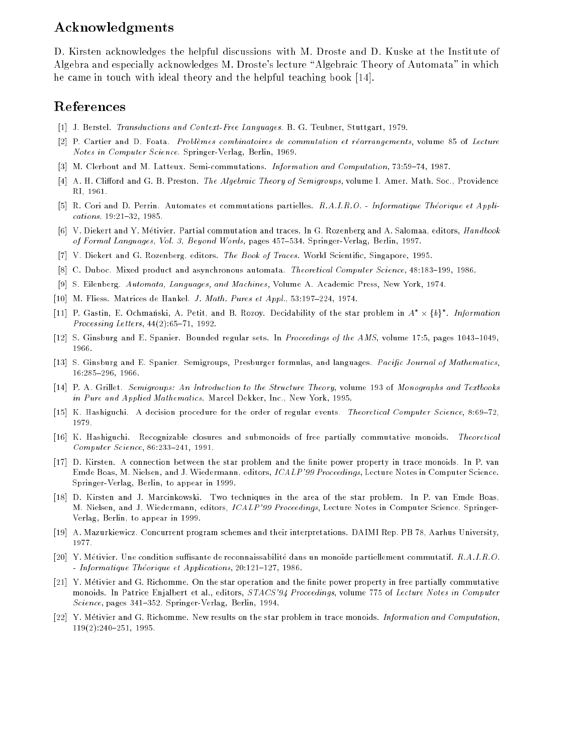## Acknowledgments

D. Kirsten acknowledges the helpful discussions with M. Droste and D. Kuske at the Institute of Algebra and especially acknowledges M. Droste's lecture "Algebraic Theory of Automata" in which he came in touch with ideal theory and the helpful teaching book [14].

## References

- [1] J. Berstel. Transductions and Context-Free Languages. B. G. Teubner, Stuttgart, 1979.
- [2] P. Cartier and D. Foata. Problemes combinatoires de commutation et rearrangements, volume 85 of Lecture Notes in Computer Science. Springer-Verlag, Berlin, 1969.
- [3] M. Clerbout and M. Latteux. Semi-commutations. Information and Computation, 73:59-74, 1987.
- [4] A. H. Clifford and G. B. Preston. The Algebraic Theory of Semigroups, volume I. Amer. Math. Soc., Providence RI, 1961.
- [5] R. Cori and D. Perrin. Automates et commutations partielles. R.A.I.R.O. Informatique Theorique et Applications, 19:21-32, 1985.
- [6] V. Diekert and Y. Metivier. Partial commutation and traces. In G. Rozenberg and A. Salomaa, editors, Handbook of Formal Languages, Vol. 3, Beyond Words, pages 457-534. Springer-Verlag, Berlin, 1997.
- [7] V. Diekert and G. Rozenberg, editors. The Book of Traces. World Scientic, Singapore, 1995.
- [8] C. Duboc. Mixed product and asynchronous automata. Theoretical Computer Science, 48:183-199, 1986.
- [9] S. Eilenberg. Automata, Languages, and Machines, Volume A. Academic Press, New York, 1974.
- [10] M. Fliess. Matrices de Hankel. J. Math. Pures et Appl.,  $53:197-224$ , 1974.
- [11] P. Gastin, E. Ochmański, A. Petit, and B. Rozoy. Decidability of the star problem in  $A^* \times \{b\}^*$ . Information Processing Letters,  $44(2):65{-}71$ , 1992.
- [12] S. Ginsburg and E. Spanier. Bounded regular sets. In *Proceedings of the AMS*, volume 17:5, pages 1043-1049, 1966.
- [13] S. Ginsburg and E. Spanier. Semigroups, Presburger formulas, and languages. Pacific Journal of Mathematics, 16:285{296, 1966.
- [14] P. A. Grillet. Semigroups: An Introduction to the Structure Theory, volume 193 of Monographs and Textbooks in Pure and Applied Mathematics. Marcel Dekker, Inc., New York, 1995.
- [15] K. Hashiguchi. A decision procedure for the order of regular events. Theoretical Computer Science, 8:69-72, 1979.
- [16] K. Hashiguchi. Recognizable closures and submonoids of free partially commutative monoids. Theoretical  $Computer Science, 86:233-241, 1991.$
- [17] D. Kirsten. A connection between the star problem and the finite power property in trace monoids. In P. van Emde Boas, M. Nielsen, and J. Wiedermann, editors, ICALP'99 Proceedings, Lecture Notes in Computer Science. Springer-Verlag, Berlin, to appear in 1999.
- [18] D. Kirsten and J. Marcinkowski. Two techniques in the area of the star problem. In P. van Emde Boas, M. Nielsen, and J. Wiedermann, editors, ICALP'99 Proceedings, Lecture Notes in Computer Science. Springer-Verlag, Berlin, to appear in 1999.
- [19] A. Mazurkiewicz. Concurrent program schemes and their interpretations. DAIMI Rep. PB 78, Aarhus University, 1977
- [20] Y. Métivier. Une condition suffisante de reconnaissabilité dans un monoïde partiellement commutatif.  $R.A.I.R.O.$  $-$  Informatique Théorique et Applications, 20:121-127, 1986.
- [21] Y. Métivier and G. Richomme. On the star operation and the finite power property in free partially commutative monoids. In Patrice Enjalbert et al., editors, STACS'94 Proceedings, volume 775 of Lecture Notes in Computer Science, pages 341-352. Springer-Verlag, Berlin, 1994.
- [22] Y. Metivier and G. Richomme. New results on the star problem in trace monoids. Information and Computation,  $119(2):240-251$ , 1995.